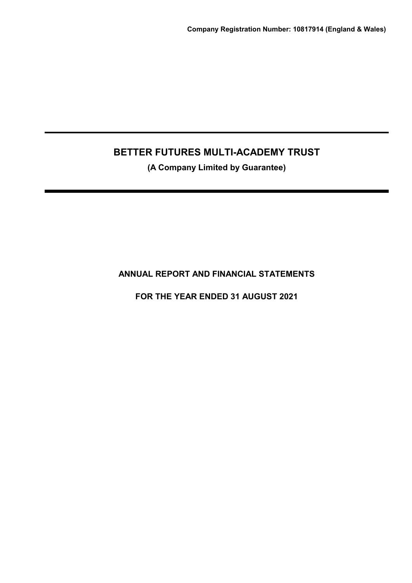**(A Company Limited by Guarantee)**

**ANNUAL REPORT AND FINANCIAL STATEMENTS**

**FOR THE YEAR ENDED 31 AUGUST 2021**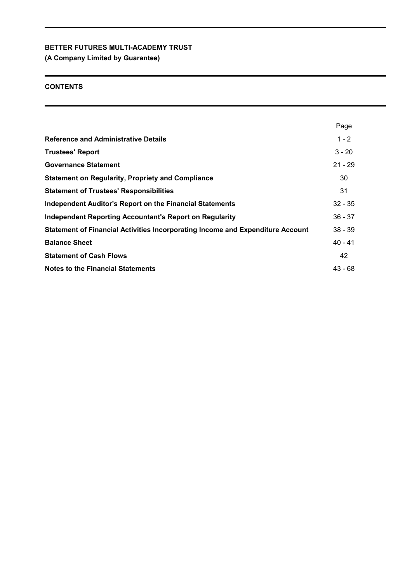**(A Company Limited by Guarantee)**

## **CONTENTS**

|                                                                                | Page      |
|--------------------------------------------------------------------------------|-----------|
| <b>Reference and Administrative Details</b>                                    | $1 - 2$   |
| <b>Trustees' Report</b>                                                        | $3 - 20$  |
| <b>Governance Statement</b>                                                    | $21 - 29$ |
| <b>Statement on Regularity, Propriety and Compliance</b>                       | 30        |
| <b>Statement of Trustees' Responsibilities</b>                                 | 31        |
| <b>Independent Auditor's Report on the Financial Statements</b>                | $32 - 35$ |
| <b>Independent Reporting Accountant's Report on Regularity</b>                 | $36 - 37$ |
| Statement of Financial Activities Incorporating Income and Expenditure Account | $38 - 39$ |
| <b>Balance Sheet</b>                                                           | $40 - 41$ |
| <b>Statement of Cash Flows</b>                                                 | 42        |
| <b>Notes to the Financial Statements</b>                                       | $43 - 68$ |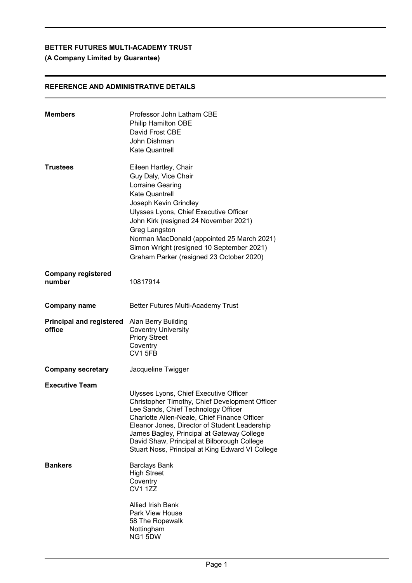## **(A Company Limited by Guarantee)**

## **REFERENCE AND ADMINISTRATIVE DETAILS**

| <b>Members</b>                            | Professor John Latham CBE<br><b>Philip Hamilton OBE</b><br>David Frost CBE<br>John Dishman<br><b>Kate Quantrell</b>                                                                                                                                                                                                                                                               |
|-------------------------------------------|-----------------------------------------------------------------------------------------------------------------------------------------------------------------------------------------------------------------------------------------------------------------------------------------------------------------------------------------------------------------------------------|
| Trustees                                  | Eileen Hartley, Chair<br>Guy Daly, Vice Chair<br>Lorraine Gearing<br><b>Kate Quantrell</b><br>Joseph Kevin Grindley<br>Ulysses Lyons, Chief Executive Officer<br>John Kirk (resigned 24 November 2021)<br>Greg Langston<br>Norman MacDonald (appointed 25 March 2021)<br>Simon Wright (resigned 10 September 2021)<br>Graham Parker (resigned 23 October 2020)                    |
| <b>Company registered</b><br>number       | 10817914                                                                                                                                                                                                                                                                                                                                                                          |
| <b>Company name</b>                       | Better Futures Multi-Academy Trust                                                                                                                                                                                                                                                                                                                                                |
| <b>Principal and registered</b><br>office | Alan Berry Building<br><b>Coventry University</b><br><b>Priory Street</b><br>Coventry<br>CV1 5FB                                                                                                                                                                                                                                                                                  |
| <b>Company secretary</b>                  | Jacqueline Twigger                                                                                                                                                                                                                                                                                                                                                                |
| <b>Executive Team</b>                     | Ulysses Lyons, Chief Executive Officer<br>Christopher Timothy, Chief Development Officer<br>Lee Sands, Chief Technology Officer<br>Charlotte Allen-Neale, Chief Finance Officer<br>Eleanor Jones, Director of Student Leadership<br>James Bagley, Principal at Gateway College<br>David Shaw, Principal at Bilborough College<br>Stuart Noss, Principal at King Edward VI College |
| <b>Bankers</b>                            | <b>Barclays Bank</b><br><b>High Street</b><br>Coventry<br><b>CV1 1ZZ</b>                                                                                                                                                                                                                                                                                                          |
|                                           | <b>Allied Irish Bank</b><br><b>Park View House</b><br>58 The Ropewalk<br>Nottingham<br>NG1 5DW                                                                                                                                                                                                                                                                                    |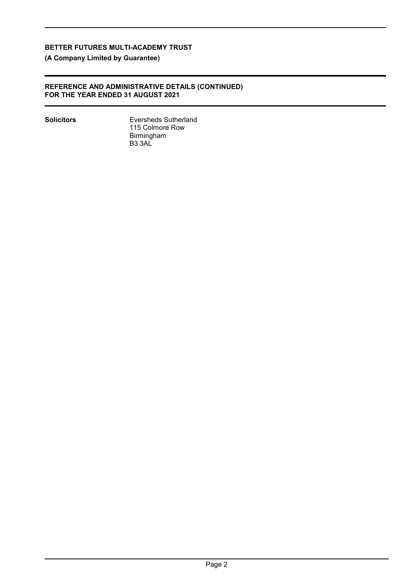**(A Company Limited by Guarantee)**

## **REFERENCE AND ADMINISTRATIVE DETAILS (CONTINUED) FOR THE YEAR ENDED 31 AUGUST 2021**

**Solicitors** Eversheds Sutherland 115 Colmore Row Birmingham B3 3AL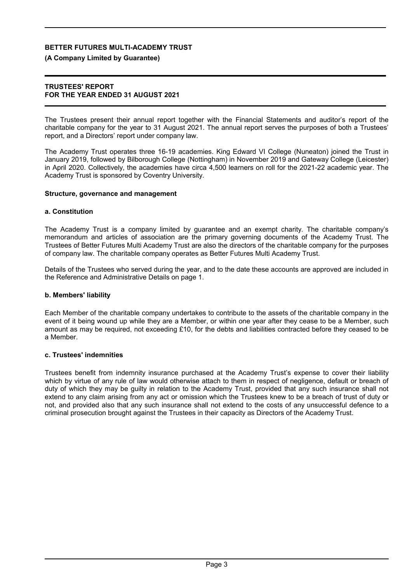### **(A Company Limited by Guarantee)**

### **TRUSTEES' REPORT FOR THE YEAR ENDED 31 AUGUST 2021**

The Trustees present their annual report together with the Financial Statements and auditor's report of the charitable company for the year to 31 August 2021. The annual report serves the purposes of both a Trustees' report, and a Directors' report under company law.

The Academy Trust operates three 16-19 academies. King Edward VI College (Nuneaton) joined the Trust in January 2019, followed by Bilborough College (Nottingham) in November 2019 and Gateway College (Leicester) in April 2020. Collectively, the academies have circa 4,500 learners on roll for the 2021-22 academic year. The Academy Trust is sponsored by Coventry University.

### **Structure, governance and management**

### **a. Constitution**

The Academy Trust is a company limited by guarantee and an exempt charity. The charitable company's memorandum and articles of association are the primary governing documents of the Academy Trust. The Trustees of Better Futures Multi Academy Trust are also the directors of the charitable company for the purposes of company law. The charitable company operates as Better Futures Multi Academy Trust.

Details of the Trustees who served during the year, and to the date these accounts are approved are included in the Reference and Administrative Details on page 1.

### **b. Members' liability**

Each Member of the charitable company undertakes to contribute to the assets of the charitable company in the event of it being wound up while they are a Member, or within one year after they cease to be a Member, such amount as may be required, not exceeding £10, for the debts and liabilities contracted before they ceased to be a Member.

### **c. Trustees' indemnities**

Trustees benefit from indemnity insurance purchased at the Academy Trust's expense to cover their liability which by virtue of any rule of law would otherwise attach to them in respect of negligence, default or breach of duty of which they may be guilty in relation to the Academy Trust, provided that any such insurance shall not extend to any claim arising from any act or omission which the Trustees knew to be a breach of trust of duty or not, and provided also that any such insurance shall not extend to the costs of any unsuccessful defence to a criminal prosecution brought against the Trustees in their capacity as Directors of the Academy Trust.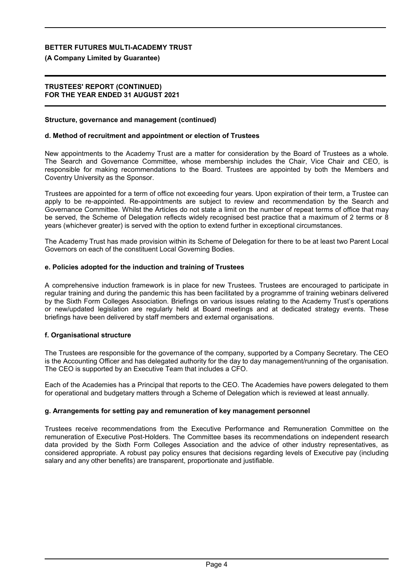**(A Company Limited by Guarantee)**

### **TRUSTEES' REPORT (CONTINUED) FOR THE YEAR ENDED 31 AUGUST 2021**

### **Structure, governance and management (continued)**

### **d. Method of recruitment and appointment or election of Trustees**

New appointments to the Academy Trust are a matter for consideration by the Board of Trustees as a whole. The Search and Governance Committee, whose membership includes the Chair, Vice Chair and CEO, is responsible for making recommendations to the Board. Trustees are appointed by both the Members and Coventry University as the Sponsor.

Trustees are appointed for a term of office not exceeding four years. Upon expiration of their term, a Trustee can apply to be re-appointed. Re-appointments are subject to review and recommendation by the Search and Governance Committee. Whilst the Articles do not state a limit on the number of repeat terms of office that may be served, the Scheme of Delegation reflects widely recognised best practice that a maximum of 2 terms or 8 years (whichever greater) is served with the option to extend further in exceptional circumstances.

The Academy Trust has made provision within its Scheme of Delegation for there to be at least two Parent Local Governors on each of the constituent Local Governing Bodies.

### **e. Policies adopted for the induction and training of Trustees**

A comprehensive induction framework is in place for new Trustees. Trustees are encouraged to participate in regular training and during the pandemic this has been facilitated by a programme of training webinars delivered by the Sixth Form Colleges Association. Briefings on various issues relating to the Academy Trust's operations or new/updated legislation are regularly held at Board meetings and at dedicated strategy events. These briefings have been delivered by staff members and external organisations.

### **f. Organisational structure**

The Trustees are responsible for the governance of the company, supported by a Company Secretary. The CEO is the Accounting Officer and has delegated authority for the day to day management/running of the organisation. The CEO is supported by an Executive Team that includes a CFO.

Each of the Academies has a Principal that reports to the CEO. The Academies have powers delegated to them for operational and budgetary matters through a Scheme of Delegation which is reviewed at least annually.

### **g. Arrangements for setting pay and remuneration of key management personnel**

Trustees receive recommendations from the Executive Performance and Remuneration Committee on the remuneration of Executive Post-Holders. The Committee bases its recommendations on independent research data provided by the Sixth Form Colleges Association and the advice of other industry representatives, as considered appropriate. A robust pay policy ensures that decisions regarding levels of Executive pay (including salary and any other benefits) are transparent, proportionate and justifiable.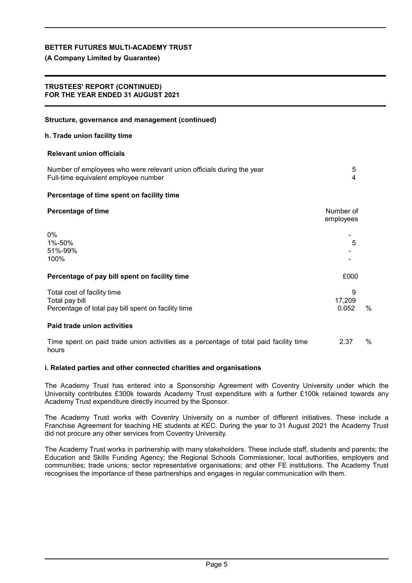### **(A Company Limited by Guarantee)**

### **TRUSTEES' REPORT (CONTINUED) FOR THE YEAR ENDED 31 AUGUST 2021**

| Structure, governance and management (continued)                                                              |                        |      |
|---------------------------------------------------------------------------------------------------------------|------------------------|------|
| h. Trade union facility time                                                                                  |                        |      |
| <b>Relevant union officials</b>                                                                               |                        |      |
| Number of employees who were relevant union officials during the year<br>Full-time equivalent employee number | 5<br>4                 |      |
| Percentage of time spent on facility time                                                                     |                        |      |
| <b>Percentage of time</b>                                                                                     | Number of<br>employees |      |
| $0\%$<br>1%-50%<br>51%-99%<br>100%                                                                            | 5                      |      |
| Percentage of pay bill spent on facility time                                                                 | £000                   |      |
| Total cost of facility time<br>Total pay bill<br>Percentage of total pay bill spent on facility time          | 9<br>17,209<br>0.052   | $\%$ |
| Paid trade union activities                                                                                   |                        |      |
| Time spent on paid trade union activities as a percentage of total paid facility time<br>hours                | 2.37                   | %    |

### **i. Related parties and other connected charities and organisations**

The Academy Trust has entered into a Sponsorship Agreement with Coventry University under which the University contributes £300k towards Academy Trust expenditure with a further £100k retained towards any Academy Trust expenditure directly incurred by the Sponsor.

The Academy Trust works with Coventry University on a number of different initiatives. These include a Franchise Agreement for teaching HE students at KEC. During the year to 31 August 2021 the Academy Trust did not procure any other services from Coventry University.

The Academy Trust works in partnership with many stakeholders. These include staff, students and parents; the Education and Skills Funding Agency; the Regional Schools Commissioner, local authorities, employers and communities; trade unions; sector representative organisations; and other FE institutions. The Academy Trust recognises the importance of these partnerships and engages in regular communication with them.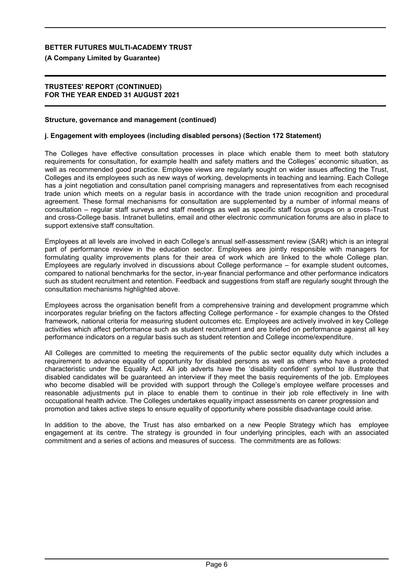**(A Company Limited by Guarantee)**

### **TRUSTEES' REPORT (CONTINUED) FOR THE YEAR ENDED 31 AUGUST 2021**

### **Structure, governance and management (continued)**

### **j. Engagement with employees (including disabled persons) (Section 172 Statement)**

The Colleges have effective consultation processes in place which enable them to meet both statutory requirements for consultation, for example health and safety matters and the Colleges' economic situation, as well as recommended good practice. Employee views are regularly sought on wider issues affecting the Trust, Colleges and its employees such as new ways of working, developments in teaching and learning. Each College has a joint negotiation and consultation panel comprising managers and representatives from each recognised trade union which meets on a regular basis in accordance with the trade union recognition and procedural agreement. These formal mechanisms for consultation are supplemented by a number of informal means of consultation – regular staff surveys and staff meetings as well as specific staff focus groups on a cross-Trust and cross-College basis. Intranet bulletins, email and other electronic communication forums are also in place to support extensive staff consultation.

Employees at all levels are involved in each College's annual self-assessment review (SAR) which is an integral part of performance review in the education sector. Employees are jointly responsible with managers for formulating quality improvements plans for their area of work which are linked to the whole College plan. Employees are regularly involved in discussions about College performance – for example student outcomes, compared to national benchmarks for the sector, in-year financial performance and other performance indicators such as student recruitment and retention. Feedback and suggestions from staff are regularly sought through the consultation mechanisms highlighted above.

Employees across the organisation benefit from a comprehensive training and development programme which incorporates regular briefing on the factors affecting College performance - for example changes to the Ofsted framework, national criteria for measuring student outcomes etc. Employees are actively involved in key College activities which affect performance such as student recruitment and are briefed on performance against all key performance indicators on a regular basis such as student retention and College income/expenditure.

All Colleges are committed to meeting the requirements of the public sector equality duty which includes a requirement to advance equality of opportunity for disabled persons as well as others who have a protected characteristic under the Equality Act. All job adverts have the 'disability confident' symbol to illustrate that disabled candidates will be guaranteed an interview if they meet the basis requirements of the job. Employees who become disabled will be provided with support through the College's employee welfare processes and reasonable adjustments put in place to enable them to continue in their job role effectively in line with occupational health advice. The Colleges undertakes equality impact assessments on career progression and promotion and takes active steps to ensure equality of opportunity where possible disadvantage could arise.

In addition to the above, the Trust has also embarked on a new People Strategy which has employee engagement at its centre. The strategy is grounded in four underlying principles, each with an associated commitment and a series of actions and measures of success. The commitments are as follows: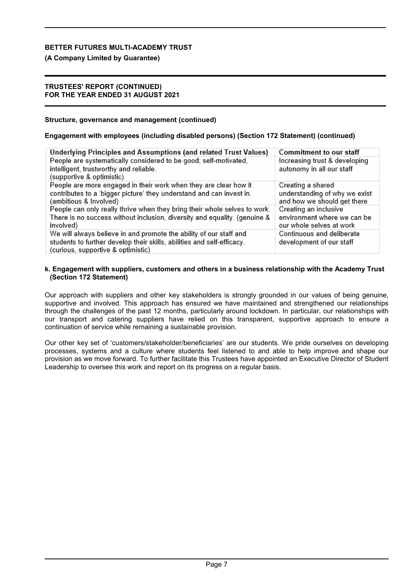## **(A Company Limited by Guarantee)**

### **TRUSTEES' REPORT (CONTINUED) FOR THE YEAR ENDED 31 AUGUST 2021**

### **Structure, governance and management (continued)**

## **Engagement with employees (including disabled persons) (Section 172 Statement) (continued)**

| Underlying Principles and Assumptions (and related Trust Values)                                                                                                                   | Commitment to our staff                                                           |
|------------------------------------------------------------------------------------------------------------------------------------------------------------------------------------|-----------------------------------------------------------------------------------|
| People are systematically considered to be good; self-motivated,<br>intelligent, trustworthy and reliable.<br>(supportive & optimistic)                                            | Increasing trust & developing<br>autonomy in all our staff                        |
| People are more engaged in their work when they are clear how it<br>contributes to a 'bigger picture' they understand and can invest in.<br>(ambitious & Involved)                 | Creating a shared<br>understanding of why we exist<br>and how we should get there |
| People can only really thrive when they bring their whole selves to work.<br>There is no success without inclusion, diversity and equality. (genuine &<br>involved)                | Creating an inclusive<br>environment where we can be<br>our whole selves at work  |
| We will always believe in and promote the ability of our staff and<br>students to further develop their skills, abilities and self-efficacy.<br>(curious, supportive & optimistic) | Continuous and deliberate<br>development of our staff                             |

### **k. Engagement with suppliers, customers and others in a business relationship with the Academy Trust (Section 172 Statement)**

Our approach with suppliers and other key stakeholders is strongly grounded in our values of being genuine, supportive and involved. This approach has ensured we have maintained and strengthened our relationships through the challenges of the past 12 months, particularly around lockdown. In particular, our relationships with our transport and catering suppliers have relied on this transparent, supportive approach to ensure a continuation of service while remaining a sustainable provision.

Our other key set of 'customers/stakeholder/beneficiaries' are our students. We pride ourselves on developing processes, systems and a culture where students feel listened to and able to help improve and shape our provision as we move forward. To further facilitate this Trustees have appointed an Executive Director of Student Leadership to oversee this work and report on its progress on a regular basis.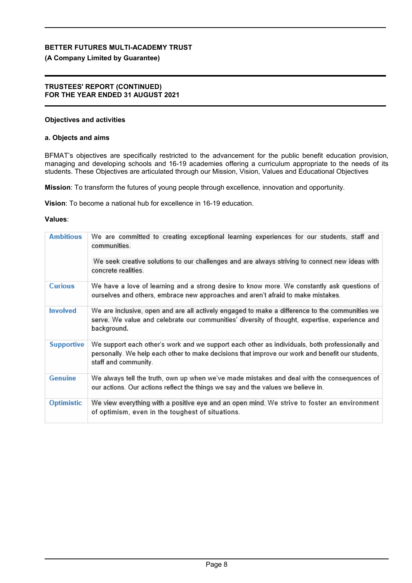## **(A Company Limited by Guarantee)**

### **TRUSTEES' REPORT (CONTINUED) FOR THE YEAR ENDED 31 AUGUST 2021**

### **Objectives and activities**

### **a. Objects and aims**

BFMAT's objectives are specifically restricted to the advancement for the public benefit education provision, managing and developing schools and 16-19 academies offering a curriculum appropriate to the needs of its students. These Objectives are articulated through our Mission, Vision, Values and Educational Objectives

**Mission**: To transform the futures of young people through excellence, innovation and opportunity.

**Vision**: To become a national hub for excellence in 16-19 education.

### **Values**:

| <b>Ambitious</b>  | We are committed to creating exceptional learning experiences for our students, staff and<br>communities.<br>We seek creative solutions to our challenges and are always striving to connect new ideas with<br>concrete realities. |
|-------------------|------------------------------------------------------------------------------------------------------------------------------------------------------------------------------------------------------------------------------------|
| <b>Curious</b>    | We have a love of learning and a strong desire to know more. We constantly ask questions of<br>ourselves and others, embrace new approaches and aren't afraid to make mistakes.                                                    |
| <b>Involved</b>   | We are inclusive, open and are all actively engaged to make a difference to the communities we<br>serve. We value and celebrate our communities' diversity of thought, expertise, experience and<br>background.                    |
| <b>Supportive</b> | We support each other's work and we support each other as individuals, both professionally and<br>personally. We help each other to make decisions that improve our work and benefit our students,<br>staff and community.         |
| <b>Genuine</b>    | We always tell the truth, own up when we've made mistakes and deal with the consequences of<br>our actions. Our actions reflect the things we say and the values we believe in.                                                    |
| Optimistic        | We view everything with a positive eye and an open mind. We strive to foster an environment<br>of optimism, even in the toughest of situations.                                                                                    |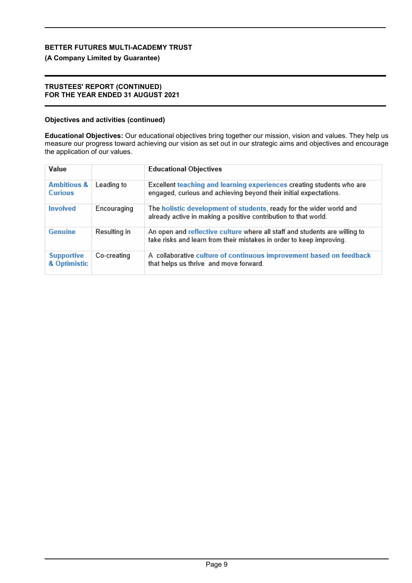## **(A Company Limited by Guarantee)**

### **TRUSTEES' REPORT (CONTINUED) FOR THE YEAR ENDED 31 AUGUST 2021**

## **Objectives and activities (continued)**

**Educational Objectives:** Our educational objectives bring together our mission, vision and values. They help us measure our progress toward achieving our vision as set out in our strategic aims and objectives and encourage the application of our values.

| Value                                    |              | <b>Educational Objectives</b>                                                                                                                      |
|------------------------------------------|--------------|----------------------------------------------------------------------------------------------------------------------------------------------------|
| <b>Ambitious &amp;</b><br><b>Curious</b> | Leading to   | Excellent teaching and learning experiences creating students who are<br>engaged, curious and achieving beyond their initial expectations.         |
| <b>Involved</b>                          | Encouraging  | The holistic development of students, ready for the wider world and<br>already active in making a positive contribution to that world.             |
| <b>Genuine</b>                           | Resulting in | An open and reflective culture where all staff and students are willing to<br>take risks and learn from their mistakes in order to keep improving. |
| <b>Supportive</b><br>& Optimistic        | Co-creating  | A collaborative culture of continuous improvement based on feedback<br>that helps us thrive and move forward.                                      |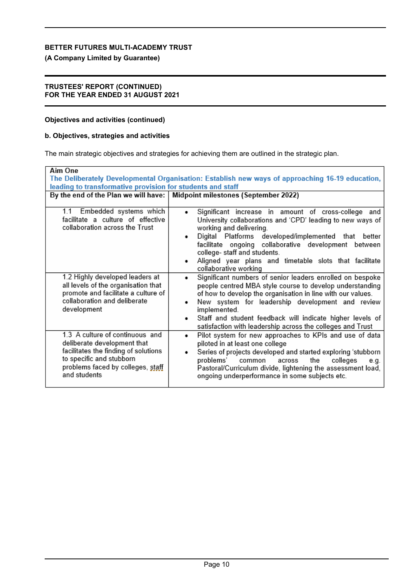**(A Company Limited by Guarantee)**

### **TRUSTEES' REPORT (CONTINUED) FOR THE YEAR ENDED 31 AUGUST 2021**

## **Objectives and activities (continued)**

## **b. Objectives, strategies and activities**

The main strategic objectives and strategies for achieving them are outlined in the strategic plan.

| Aim One<br>leading to transformative provision for students and staff                                                                                                                   | The Deliberately Developmental Organisation: Establish new ways of approaching 16-19 education,                                                                                                                                                                                                                                                                                          |
|-----------------------------------------------------------------------------------------------------------------------------------------------------------------------------------------|------------------------------------------------------------------------------------------------------------------------------------------------------------------------------------------------------------------------------------------------------------------------------------------------------------------------------------------------------------------------------------------|
| By the end of the Plan we will have:                                                                                                                                                    | Midpoint milestones (September 2022)                                                                                                                                                                                                                                                                                                                                                     |
| 1.1 Embedded systems which<br>facilitate a culture of effective<br>collaboration across the Trust                                                                                       | Significant increase in amount of cross-college and<br>University collaborations and 'CPD' leading to new ways of<br>working and delivering.<br>Digital Platforms developed/implemented that better<br>٠<br>facilitate ongoing collaborative development between<br>college- staff and students.<br>Aligned year plans and timetable slots that facilitate<br>collaborative working      |
| 1.2 Highly developed leaders at<br>all levels of the organisation that<br>promote and facilitate a culture of<br>collaboration and deliberate<br>development                            | Significant numbers of senior leaders enrolled on bespoke<br>٠<br>people centred MBA style course to develop understanding<br>of how to develop the organisation in line with our values.<br>New system for leadership development and review<br>implemented.<br>Staff and student feedback will indicate higher levels of<br>satisfaction with leadership across the colleges and Trust |
| 1.3 A culture of continuous and<br>deliberate development that<br>facilitates the finding of solutions<br>to specific and stubborn<br>problems faced by colleges, staff<br>and students | Pilot system for new approaches to KPIs and use of data<br>٠<br>piloted in at least one college<br>Series of projects developed and started exploring 'stubborn<br>problems'<br>common<br>the<br>colleges<br>across<br>e.g.<br>Pastoral/Curriculum divide, lightening the assessment load,<br>ongoing underperformance in some subjects etc.                                             |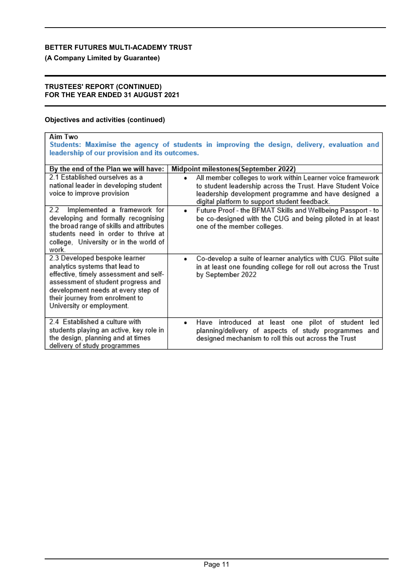**(A Company Limited by Guarantee)**

### **TRUSTEES' REPORT (CONTINUED) FOR THE YEAR ENDED 31 AUGUST 2021**

## **Objectives and activities (continued)**

| <b>Aim Two</b><br>Students: Maximise the agency of students in improving the design, delivery, evaluation and<br>leadership of our provision and its outcomes.                                                                                        |                                                                                                                                                                                                                                   |  |  |
|-------------------------------------------------------------------------------------------------------------------------------------------------------------------------------------------------------------------------------------------------------|-----------------------------------------------------------------------------------------------------------------------------------------------------------------------------------------------------------------------------------|--|--|
| By the end of the Plan we will have:                                                                                                                                                                                                                  | Midpoint milestones(September 2022)                                                                                                                                                                                               |  |  |
| 2.1 Established ourselves as a<br>national leader in developing student<br>voice to improve provision                                                                                                                                                 | All member colleges to work within Learner voice framework<br>to student leadership across the Trust. Have Student Voice<br>leadership development programme and have designed a<br>digital platform to support student feedback. |  |  |
| 2.2<br>Implemented a framework for<br>developing and formally recognising<br>the broad range of skills and attributes<br>students need in order to thrive at<br>college, University or in the world of<br>work.                                       | Future Proof - the BFMAT Skills and Wellbeing Passport - to<br>٠<br>be co-designed with the CUG and being piloted in at least<br>one of the member colleges.                                                                      |  |  |
| 2.3 Developed bespoke learner<br>analytics systems that lead to<br>effective, timely assessment and self-<br>assessment of student progress and<br>development needs at every step of<br>their journey from enrolment to<br>University or employment. | Co-develop a suite of learner analytics with CUG. Pilot suite<br>in at least one founding college for roll out across the Trust<br>by September 2022                                                                              |  |  |
| 2.4 Established a culture with<br>students playing an active, key role in<br>the design, planning and at times<br>delivery of study programmes                                                                                                        | Have introduced at least one pilot of student<br>led<br>planning/delivery of aspects of study programmes and<br>designed mechanism to roll this out across the Trust                                                              |  |  |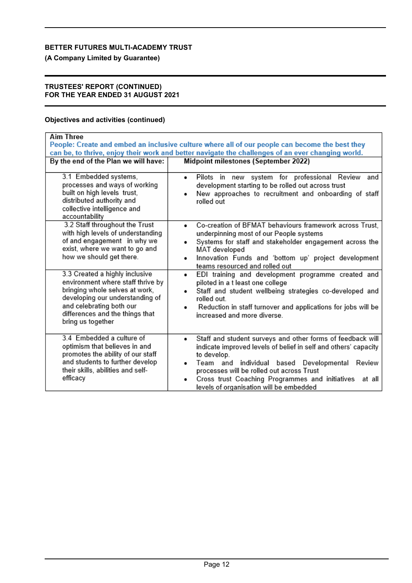**(A Company Limited by Guarantee)**

### **TRUSTEES' REPORT (CONTINUED) FOR THE YEAR ENDED 31 AUGUST 2021**

## **Objectives and activities (continued)**

| <b>Aim Three</b>                                                                                                                                                                                                             | People: Create and embed an inclusive culture where all of our people can become the best they<br>can be, to thrive, enjoy their work and better navigate the challenges of an ever changing world.                                                                                                                                                                 |
|------------------------------------------------------------------------------------------------------------------------------------------------------------------------------------------------------------------------------|---------------------------------------------------------------------------------------------------------------------------------------------------------------------------------------------------------------------------------------------------------------------------------------------------------------------------------------------------------------------|
| By the end of the Plan we will have:                                                                                                                                                                                         | Midpoint milestones (September 2022)                                                                                                                                                                                                                                                                                                                                |
| 3.1 Embedded systems,<br>processes and ways of working<br>built on high levels trust,<br>distributed authority and<br>collective intelligence and<br>accountability                                                          | Pilots in new system for professional Review and<br>٠<br>development starting to be rolled out across trust<br>New approaches to recruitment and onboarding of staff<br>٠<br>rolled out                                                                                                                                                                             |
| 3.2 Staff throughout the Trust<br>with high levels of understanding<br>of and engagement in why we<br>exist, where we want to go and<br>how we should get there.                                                             | Co-creation of BFMAT behaviours framework across Trust.<br>٠<br>underpinning most of our People systems<br>Systems for staff and stakeholder engagement across the<br>٠<br>MAT developed<br>Innovation Funds and 'bottom up' project development<br>٠<br>teams resourced and rolled out                                                                             |
| 3.3 Created a highly inclusive<br>environment where staff thrive by<br>bringing whole selves at work,<br>developing our understanding of<br>and celebrating both our<br>differences and the things that<br>bring us together | EDI training and development programme created and<br>٠<br>piloted in a t least one college<br>Staff and student wellbeing strategies co-developed and<br>rolled out<br>Reduction in staff turnover and applications for jobs will be<br>increased and more diverse.                                                                                                |
| 3.4 Embedded a culture of<br>optimism that believes in and<br>promotes the ability of our staff<br>and students to further develop<br>their skills, abilities and self-<br>efficacy                                          | Staff and student surveys and other forms of feedback will<br>٠<br>indicate improved levels of belief in self and others' capacity<br>to develop.<br>individual based Developmental<br>Team and<br>Review<br>processes will be rolled out across Trust<br>Cross trust Coaching Programmes and initiatives<br>at all<br>٠<br>levels of organisation will be embedded |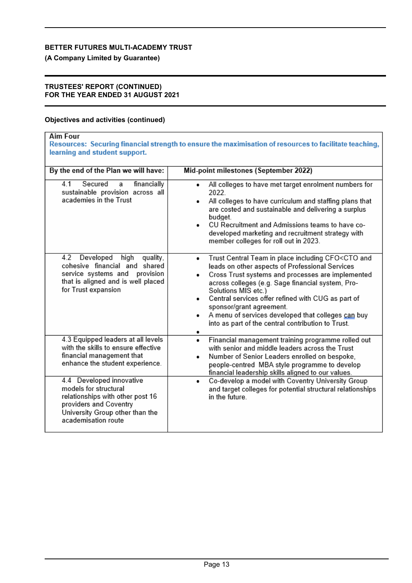**(A Company Limited by Guarantee)**

### **TRUSTEES' REPORT (CONTINUED) FOR THE YEAR ENDED 31 AUGUST 2021**

## **Objectives and activities (continued)**

| <b>Aim Four</b><br>Resources: Securing financial strength to ensure the maximisation of resources to facilitate teaching,<br>learning and student support.                |                                                                                                                                                                                                                                                                                                                                                                                                                                                                              |  |  |
|---------------------------------------------------------------------------------------------------------------------------------------------------------------------------|------------------------------------------------------------------------------------------------------------------------------------------------------------------------------------------------------------------------------------------------------------------------------------------------------------------------------------------------------------------------------------------------------------------------------------------------------------------------------|--|--|
| By the end of the Plan we will have:                                                                                                                                      | Mid-point milestones (September 2022)                                                                                                                                                                                                                                                                                                                                                                                                                                        |  |  |
| 41<br>Secured<br>financially<br>a<br>sustainable provision across all<br>academies in the Trust                                                                           | All colleges to have met target enrolment numbers for<br>۰<br>2022.<br>All colleges to have curriculum and staffing plans that<br>٠<br>are costed and sustainable and delivering a surplus<br>budget.<br>CU Recruitment and Admissions teams to have co-<br>٠<br>developed marketing and recruitment strategy with<br>member colleges for roll out in 2023.                                                                                                                  |  |  |
| Developed<br>high<br>quality.<br>4.2<br>cohesive financial and shared<br>service systems and<br>provision<br>that is aligned and is well placed<br>for Trust expansion    | Trust Central Team in place including CFO <cto and<br="">۰<br/>leads on other aspects of Professional Services<br/>Cross Trust systems and processes are implemented<br/>across colleges (e.g. Sage financial system, Pro-<br/>Solutions MIS etc.)<br/>Central services offer refined with CUG as part of<br/>۰<br/>sponsor/grant agreement.<br/>A menu of services developed that colleges can buy<br/>۰<br/>into as part of the central contribution to Trust.<br/>۰</cto> |  |  |
| 4.3 Equipped leaders at all levels<br>with the skills to ensure effective<br>financial management that<br>enhance the student experience.                                 | Financial management training programme rolled out<br>٠<br>with senior and middle leaders across the Trust<br>Number of Senior Leaders enrolled on bespoke,<br>۰<br>people-centred MBA style programme to develop<br>financial leadership skills aligned to our values.                                                                                                                                                                                                      |  |  |
| 4.4 Developed innovative<br>models for structural<br>relationships with other post 16<br>providers and Coventry<br>University Group other than the<br>academisation route | Co-develop a model with Coventry University Group<br>٠<br>and target colleges for potential structural relationships<br>in the future.                                                                                                                                                                                                                                                                                                                                       |  |  |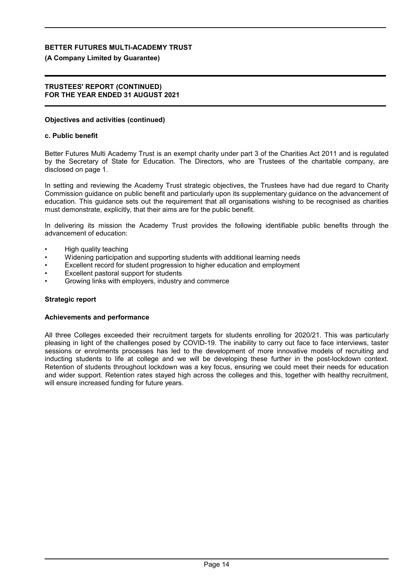### **(A Company Limited by Guarantee)**

### **TRUSTEES' REPORT (CONTINUED) FOR THE YEAR ENDED 31 AUGUST 2021**

### **Objectives and activities (continued)**

### **c. Public benefit**

Better Futures Multi Academy Trust is an exempt charity under part 3 of the Charities Act 2011 and is regulated by the Secretary of State for Education. The Directors, who are Trustees of the charitable company, are disclosed on page 1.

In setting and reviewing the Academy Trust strategic objectives, the Trustees have had due regard to Charity Commission guidance on public benefit and particularly upon its supplementary guidance on the advancement of education. This guidance sets out the requirement that all organisations wishing to be recognised as charities must demonstrate, explicitly, that their aims are for the public benefit.

In delivering its mission the Academy Trust provides the following identifiable public benefits through the advancement of education:

- High quality teaching
- Widening participation and supporting students with additional learning needs
- Excellent record for student progression to higher education and employment
- Excellent pastoral support for students
- Growing links with employers, industry and commerce

### **Strategic report**

### **Achievements and performance**

All three Colleges exceeded their recruitment targets for students enrolling for 2020/21. This was particularly pleasing in light of the challenges posed by COVID-19. The inability to carry out face to face interviews, taster sessions or enrolments processes has led to the development of more innovative models of recruiting and inducting students to life at college and we will be developing these further in the post-lockdown context. Retention of students throughout lockdown was a key focus, ensuring we could meet their needs for education and wider support. Retention rates stayed high across the colleges and this, together with healthy recruitment, will ensure increased funding for future years.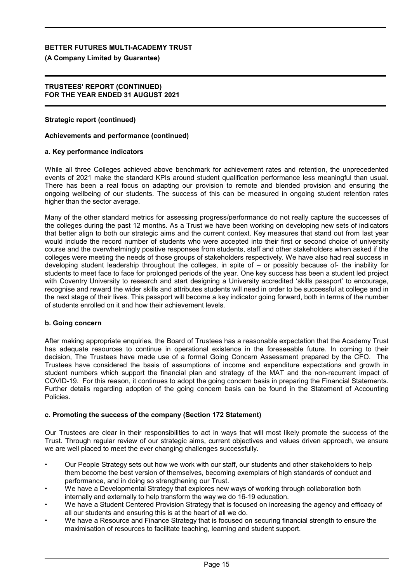### **(A Company Limited by Guarantee)**

### **TRUSTEES' REPORT (CONTINUED) FOR THE YEAR ENDED 31 AUGUST 2021**

### **Strategic report (continued)**

### **Achievements and performance (continued)**

### **a. Key performance indicators**

While all three Colleges achieved above benchmark for achievement rates and retention, the unprecedented events of 2021 make the standard KPIs around student qualification performance less meaningful than usual. There has been a real focus on adapting our provision to remote and blended provision and ensuring the ongoing wellbeing of our students. The success of this can be measured in ongoing student retention rates higher than the sector average.

Many of the other standard metrics for assessing progress/performance do not really capture the successes of the colleges during the past 12 months. As a Trust we have been working on developing new sets of indicators that better align to both our strategic aims and the current context. Key measures that stand out from last year would include the record number of students who were accepted into their first or second choice of university course and the overwhelmingly positive responses from students, staff and other stakeholders when asked if the colleges were meeting the needs of those groups of stakeholders respectively. We have also had real success in developing student leadership throughout the colleges, in spite of – or possibly because of- the inability for students to meet face to face for prolonged periods of the year. One key success has been a student led project with Coventry University to research and start designing a University accredited 'skills passport' to encourage, recognise and reward the wider skills and attributes students will need in order to be successful at college and in the next stage of their lives. This passport will become a key indicator going forward, both in terms of the number of students enrolled on it and how their achievement levels.

### **b. Going concern**

After making appropriate enquiries, the Board of Trustees has a reasonable expectation that the Academy Trust has adequate resources to continue in operational existence in the foreseeable future. In coming to their decision, The Trustees have made use of a formal Going Concern Assessment prepared by the CFO. The Trustees have considered the basis of assumptions of income and expenditure expectations and growth in student numbers which support the financial plan and strategy of the MAT and the non-recurrent impact of COVID-19. For this reason, it continues to adopt the going concern basis in preparing the Financial Statements. Further details regarding adoption of the going concern basis can be found in the Statement of Accounting Policies.

### **c. Promoting the success of the company (Section 172 Statement)**

Our Trustees are clear in their responsibilities to act in ways that will most likely promote the success of the Trust. Through regular review of our strategic aims, current objectives and values driven approach, we ensure we are well placed to meet the ever changing challenges successfully.

- Our People Strategy sets out how we work with our staff, our students and other stakeholders to help them become the best version of themselves, becoming exemplars of high standards of conduct and performance, and in doing so strengthening our Trust.
- We have a Developmental Strategy that explores new ways of working through collaboration both internally and externally to help transform the way we do 16-19 education.
- We have a Student Centered Provision Strategy that is focused on increasing the agency and efficacy of all our students and ensuring this is at the heart of all we do.
- We have a Resource and Finance Strategy that is focused on securing financial strength to ensure the maximisation of resources to facilitate teaching, learning and student support.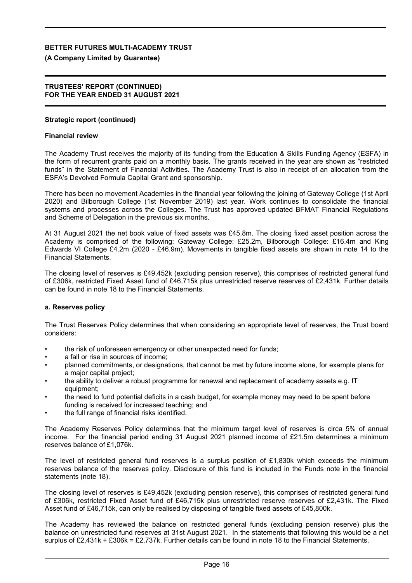### **(A Company Limited by Guarantee)**

### **TRUSTEES' REPORT (CONTINUED) FOR THE YEAR ENDED 31 AUGUST 2021**

### **Strategic report (continued)**

### **Financial review**

The Academy Trust receives the majority of its funding from the Education & Skills Funding Agency (ESFA) in the form of recurrent grants paid on a monthly basis. The grants received in the year are shown as "restricted funds" in the Statement of Financial Activities. The Academy Trust is also in receipt of an allocation from the ESFA's Devolved Formula Capital Grant and sponsorship.

There has been no movement Academies in the financial year following the joining of Gateway College (1st April 2020) and Bilborough College (1st November 2019) last year. Work continues to consolidate the financial systems and processes across the Colleges. The Trust has approved updated BFMAT Financial Regulations and Scheme of Delegation in the previous six months.

At 31 August 2021 the net book value of fixed assets was £45.8m. The closing fixed asset position across the Academy is comprised of the following: Gateway College: £25.2m, Bilborough College: £16.4m and King Edwards VI College £4.2m (2020 - £46.9m). Movements in tangible fixed assets are shown in note 14 to the Financial Statements.

The closing level of reserves is £49,452k (excluding pension reserve), this comprises of restricted general fund of £306k, restricted Fixed Asset fund of £46,715k plus unrestricted reserve reserves of £2,431k. Further details can be found in note 18 to the Financial Statements.

### **a. Reserves policy**

The Trust Reserves Policy determines that when considering an appropriate level of reserves, the Trust board considers:

- the risk of unforeseen emergency or other unexpected need for funds;
- a fall or rise in sources of income:
- planned commitments, or designations, that cannot be met by future income alone, for example plans for a major capital project;
- the ability to deliver a robust programme for renewal and replacement of academy assets e.g. IT equipment;
- the need to fund potential deficits in a cash budget, for example money may need to be spent before funding is received for increased teaching; and
- the full range of financial risks identified.

The Academy Reserves Policy determines that the minimum target level of reserves is circa 5% of annual income. For the financial period ending 31 August 2021 planned income of £21.5m determines a minimum reserves balance of £1,076k.

The level of restricted general fund reserves is a surplus position of £1,830k which exceeds the minimum reserves balance of the reserves policy. Disclosure of this fund is included in the Funds note in the financial statements (note 18).

The closing level of reserves is £49,452k (excluding pension reserve), this comprises of restricted general fund of £306k, restricted Fixed Asset fund of £46,715k plus unrestricted reserve reserves of £2,431k. The Fixed Asset fund of £46,715k, can only be realised by disposing of tangible fixed assets of £45,800k.

The Academy has reviewed the balance on restricted general funds (excluding pension reserve) plus the balance on unrestricted fund reserves at 31st August 2021. In the statements that following this would be a net surplus of £2,431k + £306k = £2,737k. Further details can be found in note 18 to the Financial Statements.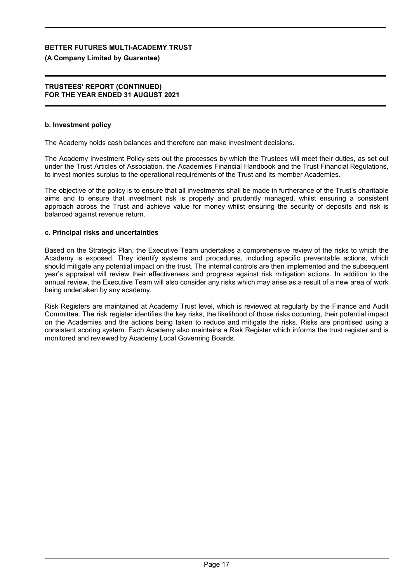## **(A Company Limited by Guarantee)**

### **TRUSTEES' REPORT (CONTINUED) FOR THE YEAR ENDED 31 AUGUST 2021**

### **b. Investment policy**

The Academy holds cash balances and therefore can make investment decisions.

The Academy Investment Policy sets out the processes by which the Trustees will meet their duties, as set out under the Trust Articles of Association, the Academies Financial Handbook and the Trust Financial Regulations, to invest monies surplus to the operational requirements of the Trust and its member Academies.

The objective of the policy is to ensure that all investments shall be made in furtherance of the Trust's charitable aims and to ensure that investment risk is properly and prudently managed, whilst ensuring a consistent approach across the Trust and achieve value for money whilst ensuring the security of deposits and risk is balanced against revenue return.

### **c. Principal risks and uncertainties**

Based on the Strategic Plan, the Executive Team undertakes a comprehensive review of the risks to which the Academy is exposed. They identify systems and procedures, including specific preventable actions, which should mitigate any potential impact on the trust. The internal controls are then implemented and the subsequent year's appraisal will review their effectiveness and progress against risk mitigation actions. In addition to the annual review, the Executive Team will also consider any risks which may arise as a result of a new area of work being undertaken by any academy.

Risk Registers are maintained at Academy Trust level, which is reviewed at regularly by the Finance and Audit Committee. The risk register identifies the key risks, the likelihood of those risks occurring, their potential impact on the Academies and the actions being taken to reduce and mitigate the risks. Risks are prioritised using a consistent scoring system. Each Academy also maintains a Risk Register which informs the trust register and is monitored and reviewed by Academy Local Governing Boards.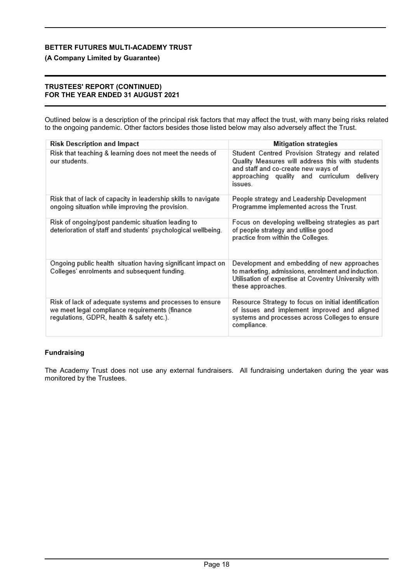## **(A Company Limited by Guarantee)**

### **TRUSTEES' REPORT (CONTINUED) FOR THE YEAR ENDED 31 AUGUST 2021**

Outlined below is a description of the principal risk factors that may affect the trust, with many being risks related to the ongoing pandemic. Other factors besides those listed below may also adversely affect the Trust.

| <b>Risk Description and Impact</b>                                                                                                                      | <b>Mitigation strategies</b>                                                                                                                                                                           |
|---------------------------------------------------------------------------------------------------------------------------------------------------------|--------------------------------------------------------------------------------------------------------------------------------------------------------------------------------------------------------|
| Risk that teaching & learning does not meet the needs of<br>our students.                                                                               | Student Centred Provision Strategy and related<br>Quality Measures will address this with students<br>and staff and co-create new ways of<br>approaching quality and curriculum<br>delivery<br>issues. |
| Risk that of lack of capacity in leadership skills to navigate<br>ongoing situation while improving the provision.                                      | People strategy and Leadership Development<br>Programme implemented across the Trust.                                                                                                                  |
| Risk of ongoing/post pandemic situation leading to<br>deterioration of staff and students' psychological wellbeing.                                     | Focus on developing wellbeing strategies as part<br>of people strategy and utilise good<br>practice from within the Colleges.                                                                          |
| Ongoing public health situation having significant impact on<br>Colleges' enrolments and subsequent funding.                                            | Development and embedding of new approaches<br>to marketing, admissions, enrolment and induction.<br>Utilisation of expertise at Coventry University with<br>these approaches.                         |
| Risk of lack of adequate systems and processes to ensure<br>we meet legal compliance requirements (finance<br>regulations, GDPR, health & safety etc.). | Resource Strategy to focus on initial identification<br>of issues and implement improved and aligned<br>systems and processes across Colleges to ensure<br>compliance.                                 |

## **Fundraising**

The Academy Trust does not use any external fundraisers. All fundraising undertaken during the year was monitored by the Trustees.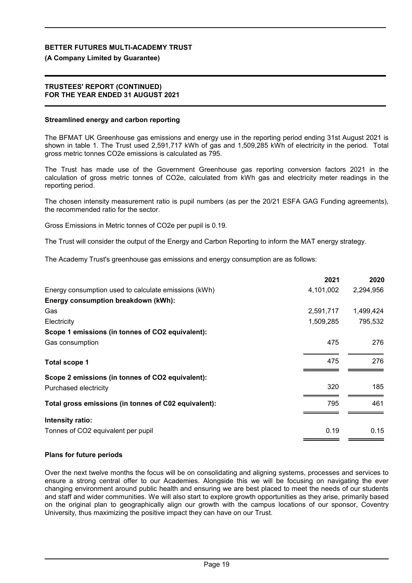### **(A Company Limited by Guarantee)**

### **TRUSTEES' REPORT (CONTINUED) FOR THE YEAR ENDED 31 AUGUST 2021**

### **Streamlined energy and carbon reporting**

The BFMAT UK Greenhouse gas emissions and energy use in the reporting period ending 31st August 2021 is shown in table 1. The Trust used 2,591,717 kWh of gas and 1,509,285 kWh of electricity in the period. Total gross metric tonnes CO2e emissions is calculated as 795.

The Trust has made use of the Government Greenhouse gas reporting conversion factors 2021 in the calculation of gross metric tonnes of CO2e, calculated from kWh gas and electricity meter readings in the reporting period.

The chosen intensity measurement ratio is pupil numbers (as per the 20/21 ESFA GAG Funding agreements), the recommended ratio for the sector.

Gross Emissions in Metric tonnes of CO2e per pupil is 0.19.

The Trust will consider the output of the Energy and Carbon Reporting to inform the MAT energy strategy.

The Academy Trust's greenhouse gas emissions and energy consumption are as follows:

|                                                      | 2021      | 2020      |
|------------------------------------------------------|-----------|-----------|
| Energy consumption used to calculate emissions (kWh) | 4,101,002 | 2,294,956 |
| Energy consumption breakdown (kWh):                  |           |           |
| Gas                                                  | 2,591,717 | 1,499,424 |
| Electricity                                          | 1,509,285 | 795,532   |
| Scope 1 emissions (in tonnes of CO2 equivalent):     |           |           |
| Gas consumption                                      | 475       | 276       |
| <b>Total scope 1</b>                                 | 475       | 276       |
| Scope 2 emissions (in tonnes of CO2 equivalent):     |           |           |
| Purchased electricity                                | 320       | 185       |
| Total gross emissions (in tonnes of C02 equivalent): | 795       | 461       |
| Intensity ratio:                                     |           |           |
| Tonnes of CO2 equivalent per pupil                   | 0.19      | 0.15      |
|                                                      |           |           |

### **Plans for future periods**

Over the next twelve months the focus will be on consolidating and aligning systems, processes and services to ensure a strong central offer to our Academies. Alongside this we will be focusing on navigating the ever changing environment around public health and ensuring we are best placed to meet the needs of our students and staff and wider communities. We will also start to explore growth opportunities as they arise, primarily based on the original plan to geographically align our growth with the campus locations of our sponsor, Coventry University, thus maximizing the positive impact they can have on our Trust.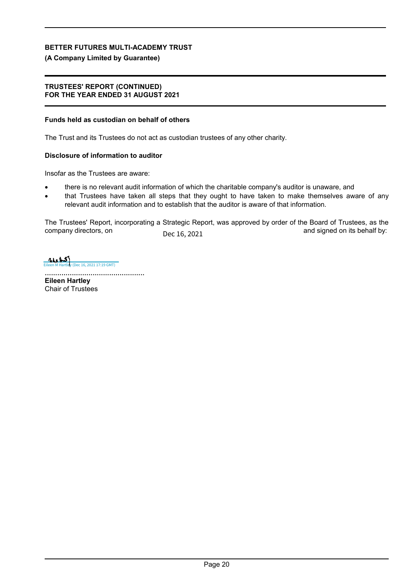## **(A Company Limited by Guarantee)**

### **TRUSTEES' REPORT (CONTINUED) FOR THE YEAR ENDED 31 AUGUST 2021**

## **Funds held as custodian on behalf of others**

The Trust and its Trustees do not act as custodian trustees of any other charity.

## **Disclosure of information to auditor**

Insofar as the Trustees are aware:

- there is no relevant audit information of which the charitable company's auditor is unaware, and
- that Trustees have taken all steps that they ought to have taken to make themselves aware of any relevant audit information and to establish that the auditor is aware of that information.

The Trustees' Report, incorporating a Strategic Report, was approved by order of the Board of Trustees, as the company directors, on \_\_\_\_\_\_\_\_\_\_\_\_\_\_\_\_\_\_\_\_\_\_\_\_\_\_\_\_\_\_\_\_\_\_\_\_\_\_\_\_\_\_\_\_\_\_\_\_\_ and signed on its behalf by: Dec 16, 2021

 $\frac{1}{\frac{1}{\sqrt{1+\frac{1}{\sqrt{1+\frac{1}{\sqrt{1+\frac{1}{\sqrt{1+\frac{1}{\sqrt{1+\frac{1}{\sqrt{1+\frac{1}{\sqrt{1+\frac{1}{\sqrt{1+\frac{1}{\sqrt{1+\frac{1}{\sqrt{1+\frac{1}{\sqrt{1+\frac{1}{\sqrt{1+\frac{1}{\sqrt{1+\frac{1}{\sqrt{1+\frac{1}{\sqrt{1+\frac{1}{\sqrt{1+\frac{1}{\sqrt{1+\frac{1}{\sqrt{1+\frac{1}{\sqrt{1+\frac{1}{\sqrt{1+\frac{1}{\sqrt{1+\frac{1}{\sqrt{1+\frac{1}{\sqrt{1+\frac{1}{\sqrt{$ 

................................................

**Eileen Hartley** Chair of Trustees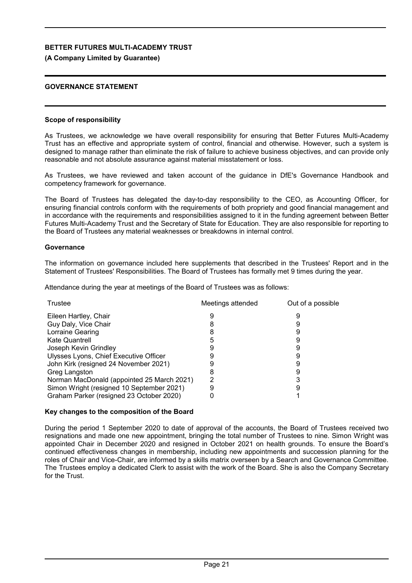### **(A Company Limited by Guarantee)**

### **GOVERNANCE STATEMENT**

### **Scope of responsibility**

As Trustees, we acknowledge we have overall responsibility for ensuring that Better Futures Multi-Academy Trust has an effective and appropriate system of control, financial and otherwise. However, such a system is designed to manage rather than eliminate the risk of failure to achieve business objectives, and can provide only reasonable and not absolute assurance against material misstatement or loss.

As Trustees, we have reviewed and taken account of the guidance in DfE's Governance Handbook and competency framework for governance.

The Board of Trustees has delegated the day-to-day responsibility to the CEO, as Accounting Officer, for ensuring financial controls conform with the requirements of both propriety and good financial management and in accordance with the requirements and responsibilities assigned to it in the funding agreement between Better Futures Multi-Academy Trust and the Secretary of State for Education. They are also responsible for reporting to the Board of Trustees any material weaknesses or breakdowns in internal control.

### **Governance**

The information on governance included here supplements that described in the Trustees' Report and in the Statement of Trustees' Responsibilities. The Board of Trustees has formally met 9 times during the year.

Attendance during the year at meetings of the Board of Trustees was as follows:

| Trustee                                    | Meetings attended | Out of a possible |
|--------------------------------------------|-------------------|-------------------|
| Eileen Hartley, Chair                      |                   |                   |
| Guy Daly, Vice Chair                       |                   |                   |
| Lorraine Gearing                           |                   |                   |
| Kate Quantrell                             |                   |                   |
| Joseph Kevin Grindley                      |                   |                   |
| Ulysses Lyons, Chief Executive Officer     |                   |                   |
| John Kirk (resigned 24 November 2021)      |                   |                   |
| Greg Langston                              |                   |                   |
| Norman MacDonald (appointed 25 March 2021) |                   |                   |
| Simon Wright (resigned 10 September 2021)  |                   |                   |
| Graham Parker (resigned 23 October 2020)   |                   |                   |

### **Key changes to the composition of the Board**

During the period 1 September 2020 to date of approval of the accounts, the Board of Trustees received two resignations and made one new appointment, bringing the total number of Trustees to nine. Simon Wright was appointed Chair in December 2020 and resigned in October 2021 on health grounds. To ensure the Board's continued effectiveness changes in membership, including new appointments and succession planning for the roles of Chair and Vice-Chair, are informed by a skills matrix overseen by a Search and Governance Committee. The Trustees employ a dedicated Clerk to assist with the work of the Board. She is also the Company Secretary for the Trust.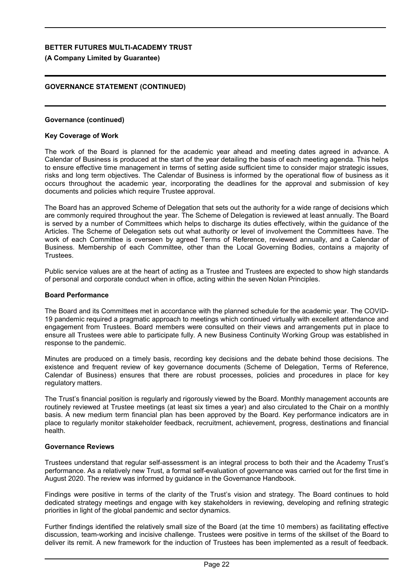### **(A Company Limited by Guarantee)**

## **GOVERNANCE STATEMENT (CONTINUED)**

### **Governance (continued)**

### **Key Coverage of Work**

The work of the Board is planned for the academic year ahead and meeting dates agreed in advance. A Calendar of Business is produced at the start of the year detailing the basis of each meeting agenda. This helps to ensure effective time management in terms of setting aside sufficient time to consider major strategic issues, risks and long term objectives. The Calendar of Business is informed by the operational flow of business as it occurs throughout the academic year, incorporating the deadlines for the approval and submission of key documents and policies which require Trustee approval.

The Board has an approved Scheme of Delegation that sets out the authority for a wide range of decisions which are commonly required throughout the year. The Scheme of Delegation is reviewed at least annually. The Board is served by a number of Committees which helps to discharge its duties effectively, within the guidance of the Articles. The Scheme of Delegation sets out what authority or level of involvement the Committees have. The work of each Committee is overseen by agreed Terms of Reference, reviewed annually, and a Calendar of Business. Membership of each Committee, other than the Local Governing Bodies, contains a majority of Trustees.

Public service values are at the heart of acting as a Trustee and Trustees are expected to show high standards of personal and corporate conduct when in office, acting within the seven Nolan Principles.

### **Board Performance**

The Board and its Committees met in accordance with the planned schedule for the academic year. The COVID-19 pandemic required a pragmatic approach to meetings which continued virtually with excellent attendance and engagement from Trustees. Board members were consulted on their views and arrangements put in place to ensure all Trustees were able to participate fully. A new Business Continuity Working Group was established in response to the pandemic.

Minutes are produced on a timely basis, recording key decisions and the debate behind those decisions. The existence and frequent review of key governance documents (Scheme of Delegation, Terms of Reference, Calendar of Business) ensures that there are robust processes, policies and procedures in place for key regulatory matters.

The Trust's financial position is regularly and rigorously viewed by the Board. Monthly management accounts are routinely reviewed at Trustee meetings (at least six times a year) and also circulated to the Chair on a monthly basis. A new medium term financial plan has been approved by the Board. Key performance indicators are in place to regularly monitor stakeholder feedback, recruitment, achievement, progress, destinations and financial health.

### **Governance Reviews**

Trustees understand that regular self-assessment is an integral process to both their and the Academy Trust's performance. As a relatively new Trust, a formal self-evaluation of governance was carried out for the first time in August 2020. The review was informed by guidance in the Governance Handbook.

Findings were positive in terms of the clarity of the Trust's vision and strategy. The Board continues to hold dedicated strategy meetings and engage with key stakeholders in reviewing, developing and refining strategic priorities in light of the global pandemic and sector dynamics.

Further findings identified the relatively small size of the Board (at the time 10 members) as facilitating effective discussion, team-working and incisive challenge. Trustees were positive in terms of the skillset of the Board to deliver its remit. A new framework for the induction of Trustees has been implemented as a result of feedback.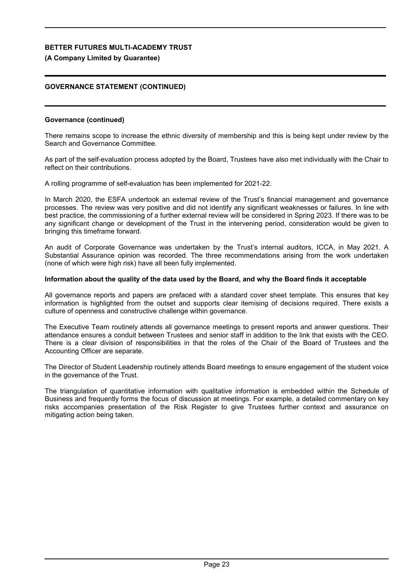## **(A Company Limited by Guarantee)**

## **GOVERNANCE STATEMENT (CONTINUED)**

### **Governance (continued)**

There remains scope to increase the ethnic diversity of membership and this is being kept under review by the Search and Governance Committee.

As part of the self-evaluation process adopted by the Board, Trustees have also met individually with the Chair to reflect on their contributions.

A rolling programme of self-evaluation has been implemented for 2021-22.

In March 2020, the ESFA undertook an external review of the Trust's financial management and governance processes. The review was very positive and did not identify any significant weaknesses or failures. In line with best practice, the commissioning of a further external review will be considered in Spring 2023. If there was to be any significant change or development of the Trust in the intervening period, consideration would be given to bringing this timeframe forward.

An audit of Corporate Governance was undertaken by the Trust's internal auditors, ICCA, in May 2021. A Substantial Assurance opinion was recorded. The three recommendations arising from the work undertaken (none of which were high risk) have all been fully implemented.

### **Information about the quality of the data used by the Board, and why the Board finds it acceptable**

All governance reports and papers are prefaced with a standard cover sheet template. This ensures that key information is highlighted from the outset and supports clear itemising of decisions required. There exists a culture of openness and constructive challenge within governance.

The Executive Team routinely attends all governance meetings to present reports and answer questions. Their attendance ensures a conduit between Trustees and senior staff in addition to the link that exists with the CEO. There is a clear division of responsibilities in that the roles of the Chair of the Board of Trustees and the Accounting Officer are separate.

The Director of Student Leadership routinely attends Board meetings to ensure engagement of the student voice in the governance of the Trust.

The triangulation of quantitative information with qualitative information is embedded within the Schedule of Business and frequently forms the focus of discussion at meetings. For example, a detailed commentary on key risks accompanies presentation of the Risk Register to give Trustees further context and assurance on mitigating action being taken.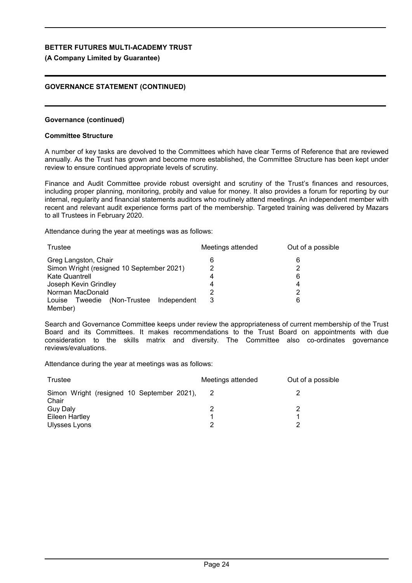### **(A Company Limited by Guarantee)**

## **GOVERNANCE STATEMENT (CONTINUED)**

### **Governance (continued)**

### **Committee Structure**

A number of key tasks are devolved to the Committees which have clear Terms of Reference that are reviewed annually. As the Trust has grown and become more established, the Committee Structure has been kept under review to ensure continued appropriate levels of scrutiny.

Finance and Audit Committee provide robust oversight and scrutiny of the Trust's finances and resources, including proper planning, monitoring, probity and value for money. It also provides a forum for reporting by our internal, regularity and financial statements auditors who routinely attend meetings. An independent member with recent and relevant audit experience forms part of the membership. Targeted training was delivered by Mazars to all Trustees in February 2020.

Attendance during the year at meetings was as follows:

| Trustee                                          | Meetings attended | Out of a possible |  |
|--------------------------------------------------|-------------------|-------------------|--|
| Greg Langston, Chair                             | 6                 | 6                 |  |
| Simon Wright (resigned 10 September 2021)        |                   | ႒                 |  |
| Kate Quantrell                                   | 4                 | 6                 |  |
| Joseph Kevin Grindley                            | 4                 | 4                 |  |
| Norman MacDonald                                 | っ                 | 2                 |  |
| (Non-Trustee<br>Tweedie<br>Independent<br>Louise | 3                 | 6                 |  |
| Member)                                          |                   |                   |  |

Search and Governance Committee keeps under review the appropriateness of current membership of the Trust Board and its Committees. It makes recommendations to the Trust Board on appointments with due consideration to the skills matrix and diversity. The Committee also co-ordinates governance reviews/evaluations.

Attendance during the year at meetings was as follows:

| Trustee                                             | Meetings attended | Out of a possible |
|-----------------------------------------------------|-------------------|-------------------|
| Simon Wright (resigned 10 September 2021),<br>Chair |                   |                   |
| Guy Daly                                            |                   |                   |
| Eileen Hartley                                      |                   |                   |
| Ulysses Lyons                                       |                   |                   |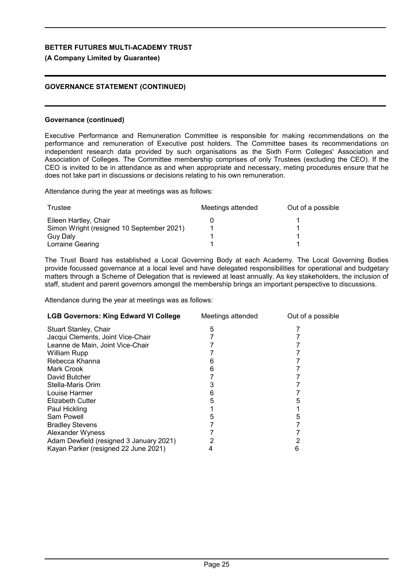## **(A Company Limited by Guarantee)**

## **GOVERNANCE STATEMENT (CONTINUED)**

### **Governance (continued)**

Executive Performance and Remuneration Committee is responsible for making recommendations on the performance and remuneration of Executive post holders. The Committee bases its recommendations on independent research data provided by such organisations as the Sixth Form Colleges' Association and Association of Colleges. The Committee membership comprises of only Trustees (excluding the CEO). If the CEO is invited to be in attendance as and when appropriate and necessary, meting procedures ensure that he does not take part in discussions or decisions relating to his own remuneration.

Attendance during the year at meetings was as follows:

| Trustee                                   | Meetings attended | Out of a possible |
|-------------------------------------------|-------------------|-------------------|
| Eileen Hartley, Chair                     |                   |                   |
| Simon Wright (resigned 10 September 2021) |                   |                   |
| Guy Daly                                  |                   |                   |
| Lorraine Gearing                          |                   |                   |

The Trust Board has established a Local Governing Body at each Academy. The Local Governing Bodies provide focussed governance at a local level and have delegated responsibilities for operational and budgetary matters through a Scheme of Delegation that is reviewed at least annually. As key stakeholders, the inclusion of staff, student and parent governors amongst the membership brings an important perspective to discussions.

Attendance during the year at meetings was as follows:

| <b>LGB Governors: King Edward VI College</b> | Meetings attended | Out of a possible |
|----------------------------------------------|-------------------|-------------------|
| <b>Stuart Stanley, Chair</b>                 | 5                 |                   |
| Jacqui Clements, Joint Vice-Chair            |                   |                   |
| Leanne de Main, Joint Vice-Chair             |                   |                   |
| William Rupp                                 |                   |                   |
| Rebecca Khanna                               |                   |                   |
| Mark Crook                                   | h                 |                   |
| David Butcher                                |                   |                   |
| Stella-Maris Orim                            |                   |                   |
| Louise Harmer                                |                   |                   |
| <b>Elizabeth Cutter</b>                      |                   |                   |
| Paul Hickling                                |                   |                   |
| Sam Powell                                   |                   |                   |
| <b>Bradley Stevens</b>                       |                   |                   |
| Alexander Wyness                             |                   |                   |
| Adam Dewfield (resigned 3 January 2021)      |                   |                   |
| Kayan Parker (resigned 22 June 2021)         |                   |                   |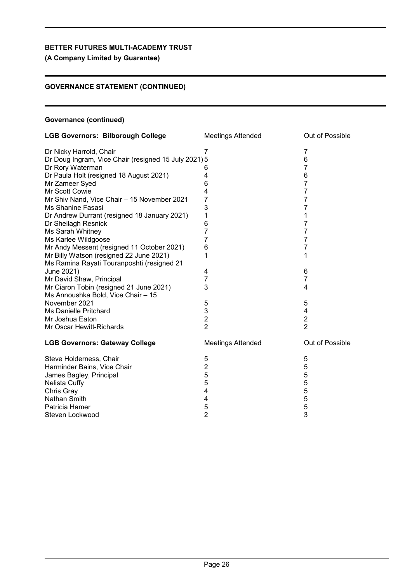**(A Company Limited by Guarantee)**

## **GOVERNANCE STATEMENT (CONTINUED)**

## **Governance (continued)**

| <b>LGB Governors: Bilborough College</b>             | <b>Meetings Attended</b> | Out of Possible         |  |
|------------------------------------------------------|--------------------------|-------------------------|--|
| Dr Nicky Harrold, Chair                              | 7                        | 7                       |  |
| Dr Doug Ingram, Vice Chair (resigned 15 July 2021) 5 |                          | 6                       |  |
| Dr Rory Waterman                                     | 6                        | 7                       |  |
| Dr Paula Holt (resigned 18 August 2021)              | 4                        | 6                       |  |
| Mr Zameer Syed                                       | 6                        | 7                       |  |
| Mr Scott Cowie                                       | 4                        | 7                       |  |
| Mr Shiv Nand, Vice Chair - 15 November 2021          | 7                        | 7                       |  |
| Ms Shanine Fasasi                                    | 3                        | $\overline{7}$          |  |
| Dr Andrew Durrant (resigned 18 January 2021)         | 1                        | 1                       |  |
| Dr Sheilagh Resnick                                  | 6                        | 7                       |  |
| Ms Sarah Whitney                                     | $\overline{7}$           | $\overline{7}$          |  |
| Ms Karlee Wildgoose                                  | 7                        | 7                       |  |
| Mr Andy Messent (resigned 11 October 2021)           | 6                        | 7                       |  |
| Mr Billy Watson (resigned 22 June 2021)              | 1                        | 1                       |  |
| Ms Ramina Rayati Touranposhti (resigned 21           |                          |                         |  |
| June 2021)                                           | 4                        | 6                       |  |
| Mr David Shaw, Principal                             | 7                        | 7                       |  |
| Mr Ciaron Tobin (resigned 21 June 2021)              | 3                        | 4                       |  |
| Ms Annoushka Bold, Vice Chair - 15                   |                          |                         |  |
| November 2021                                        | 5                        | 5                       |  |
| <b>Ms Danielle Pritchard</b>                         | 3                        | 4                       |  |
| Mr Joshua Eaton                                      | $\overline{2}$           | $\overline{\mathbf{c}}$ |  |
| Mr Oscar Hewitt-Richards                             | $\overline{2}$           | $\overline{2}$          |  |
| <b>LGB Governors: Gateway College</b>                | <b>Meetings Attended</b> | Out of Possible         |  |
| Steve Holderness, Chair                              | 5                        | 5                       |  |
| Harminder Bains, Vice Chair                          | $\overline{2}$           | 5                       |  |
| James Bagley, Principal                              | 5                        | 5                       |  |
| Nelista Cuffy                                        | 5                        |                         |  |
| Chris Gray                                           | 4                        | 55555                   |  |
| Nathan Smith                                         | 4                        |                         |  |
| Patricia Hamer                                       | 5                        |                         |  |
| Steven Lockwood                                      | $\overline{2}$           | 3                       |  |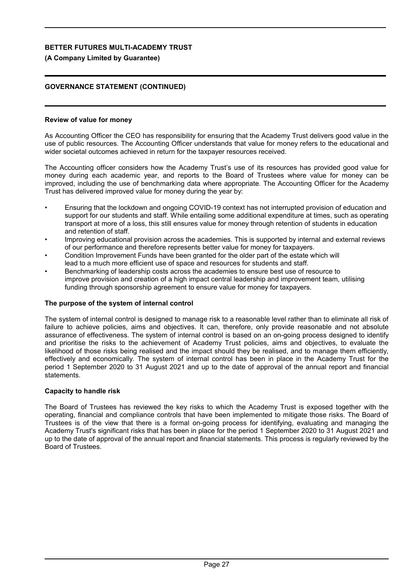## **(A Company Limited by Guarantee)**

## **GOVERNANCE STATEMENT (CONTINUED)**

### **Review of value for money**

As Accounting Officer the CEO has responsibility for ensuring that the Academy Trust delivers good value in the use of public resources. The Accounting Officer understands that value for money refers to the educational and wider societal outcomes achieved in return for the taxpayer resources received.

The Accounting officer considers how the Academy Trust's use of its resources has provided good value for money during each academic year, and reports to the Board of Trustees where value for money can be improved, including the use of benchmarking data where appropriate. The Accounting Officer for the Academy Trust has delivered improved value for money during the year by:

- Ensuring that the lockdown and ongoing COVID-19 context has not interrupted provision of education and support for our students and staff. While entailing some additional expenditure at times, such as operating transport at more of a loss, this still ensures value for money through retention of students in education and retention of staff.
- Improving educational provision across the academies. This is supported by internal and external reviews of our performance and therefore represents better value for money for taxpayers.
- Condition Improvement Funds have been granted for the older part of the estate which will lead to a much more efficient use of space and resources for students and staff.
- Benchmarking of leadership costs across the academies to ensure best use of resource to improve provision and creation of a high impact central leadership and improvement team, utilising funding through sponsorship agreement to ensure value for money for taxpayers.

### **The purpose of the system of internal control**

The system of internal control is designed to manage risk to a reasonable level rather than to eliminate all risk of failure to achieve policies, aims and objectives. It can, therefore, only provide reasonable and not absolute assurance of effectiveness. The system of internal control is based on an on-going process designed to identify and prioritise the risks to the achievement of Academy Trust policies, aims and objectives, to evaluate the likelihood of those risks being realised and the impact should they be realised, and to manage them efficiently, effectively and economically. The system of internal control has been in place in the Academy Trust for the period 1 September 2020 to 31 August 2021 and up to the date of approval of the annual report and financial statements.

### **Capacity to handle risk**

The Board of Trustees has reviewed the key risks to which the Academy Trust is exposed together with the operating, financial and compliance controls that have been implemented to mitigate those risks. The Board of Trustees is of the view that there is a formal on-going process for identifying, evaluating and managing the Academy Trust's significant risks that has been in place for the period 1 September 2020 to 31 August 2021 and up to the date of approval of the annual report and financial statements. This process is regularly reviewed by the Board of Trustees.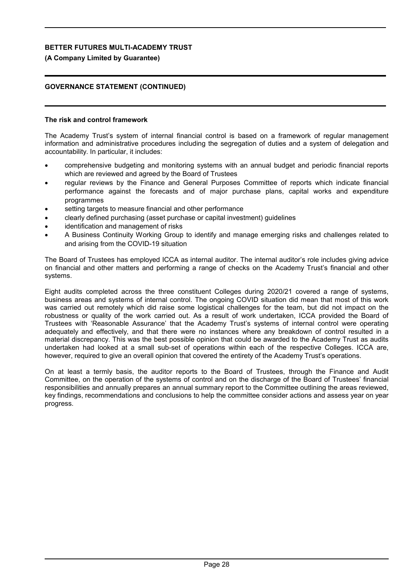## **(A Company Limited by Guarantee)**

## **GOVERNANCE STATEMENT (CONTINUED)**

### **The risk and control framework**

The Academy Trust's system of internal financial control is based on a framework of regular management information and administrative procedures including the segregation of duties and a system of delegation and accountability. In particular, it includes:

- comprehensive budgeting and monitoring systems with an annual budget and periodic financial reports which are reviewed and agreed by the Board of Trustees
- regular reviews by the Finance and General Purposes Committee of reports which indicate financial performance against the forecasts and of major purchase plans, capital works and expenditure programmes
- setting targets to measure financial and other performance
- clearly defined purchasing (asset purchase or capital investment) guidelines
- identification and management of risks
- A Business Continuity Working Group to identify and manage emerging risks and challenges related to and arising from the COVID-19 situation

The Board of Trustees has employed ICCA as internal auditor. The internal auditor's role includes giving advice on financial and other matters and performing a range of checks on the Academy Trust's financial and other systems.

Eight audits completed across the three constituent Colleges during 2020/21 covered a range of systems, business areas and systems of internal control. The ongoing COVID situation did mean that most of this work was carried out remotely which did raise some logistical challenges for the team, but did not impact on the robustness or quality of the work carried out. As a result of work undertaken, ICCA provided the Board of Trustees with 'Reasonable Assurance' that the Academy Trust's systems of internal control were operating adequately and effectively, and that there were no instances where any breakdown of control resulted in a material discrepancy. This was the best possible opinion that could be awarded to the Academy Trust as audits undertaken had looked at a small sub-set of operations within each of the respective Colleges. ICCA are, however, required to give an overall opinion that covered the entirety of the Academy Trust's operations.

On at least a termly basis, the auditor reports to the Board of Trustees, through the Finance and Audit Committee, on the operation of the systems of control and on the discharge of the Board of Trustees' financial responsibilities and annually prepares an annual summary report to the Committee outlining the areas reviewed, key findings, recommendations and conclusions to help the committee consider actions and assess year on year progress.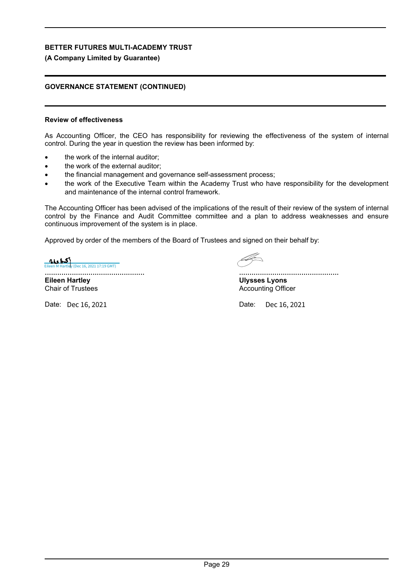## **(A Company Limited by Guarantee)**

## **GOVERNANCE STATEMENT (CONTINUED)**

## **Review of effectiveness**

As Accounting Officer, the CEO has responsibility for reviewing the effectiveness of the system of internal control. During the year in question the review has been informed by:

- the work of the internal auditor;
- the work of the external auditor;
- the financial management and governance self-assessment process;
- the work of the Executive Team within the Academy Trust who have responsibility for the development and maintenance of the internal control framework.

The Accounting Officer has been advised of the implications of the result of their review of the system of internal control by the Finance and Audit Committee committee and a plan to address weaknesses and ensure continuous improvement of the system is in place.

Approved by order of the members of the Board of Trustees and signed on their behalf by:

................................................ **ALA HATTER (DEC 16, 2021 17:19 GMT)** 

**Eileen Hartley** Chair of Trustees

Date: Date: Dec 16, 2021

................................................ **Ulysses Lyons**

Accounting Officer

Dec 16, 2021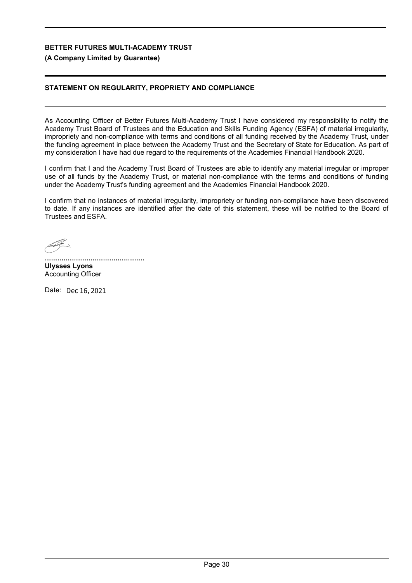## **(A Company Limited by Guarantee)**

## **STATEMENT ON REGULARITY, PROPRIETY AND COMPLIANCE**

As Accounting Officer of Better Futures Multi-Academy Trust I have considered my responsibility to notify the Academy Trust Board of Trustees and the Education and Skills Funding Agency (ESFA) of material irregularity, impropriety and non-compliance with terms and conditions of all funding received by the Academy Trust, under the funding agreement in place between the Academy Trust and the Secretary of State for Education. As part of my consideration I have had due regard to the requirements of the Academies Financial Handbook 2020.

I confirm that I and the Academy Trust Board of Trustees are able to identify any material irregular or improper use of all funds by the Academy Trust, or material non-compliance with the terms and conditions of funding under the Academy Trust's funding agreement and the Academies Financial Handbook 2020.

I confirm that no instances of material irregularity, impropriety or funding non-compliance have been discovered to date. If any instances are identified after the date of this statement, these will be notified to the Board of Trustees and ESFA.

................................................ **Ulysses Lyons** Accounting Officer

Date: Dec 16, 2021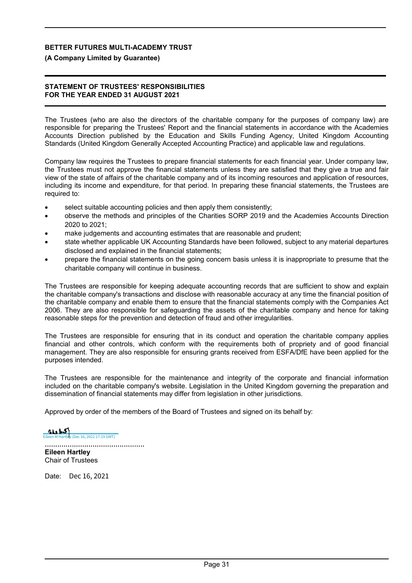### **(A Company Limited by Guarantee)**

### **STATEMENT OF TRUSTEES' RESPONSIBILITIES FOR THE YEAR ENDED 31 AUGUST 2021**

The Trustees (who are also the directors of the charitable company for the purposes of company law) are responsible for preparing the Trustees' Report and the financial statements in accordance with the Academies Accounts Direction published by the Education and Skills Funding Agency, United Kingdom Accounting Standards (United Kingdom Generally Accepted Accounting Practice) and applicable law and regulations.

Company law requires the Trustees to prepare financial statements for each financial year. Under company law, the Trustees must not approve the financial statements unless they are satisfied that they give a true and fair view of the state of affairs of the charitable company and of its incoming resources and application of resources, including its income and expenditure, for that period. In preparing these financial statements, the Trustees are required to:

- select suitable accounting policies and then apply them consistently;
- observe the methods and principles of the Charities SORP 2019 and the Academies Accounts Direction 2020 to 2021;
- make judgements and accounting estimates that are reasonable and prudent;
- state whether applicable UK Accounting Standards have been followed, subject to any material departures disclosed and explained in the financial statements;
- prepare the financial statements on the going concern basis unless it is inappropriate to presume that the charitable company will continue in business.

The Trustees are responsible for keeping adequate accounting records that are sufficient to show and explain the charitable company's transactions and disclose with reasonable accuracy at any time the financial position of the charitable company and enable them to ensure that the financial statements comply with the Companies Act 2006. They are also responsible for safeguarding the assets of the charitable company and hence for taking reasonable steps for the prevention and detection of fraud and other irregularities.

The Trustees are responsible for ensuring that in its conduct and operation the charitable company applies financial and other controls, which conform with the requirements both of propriety and of good financial management. They are also responsible for ensuring grants received from ESFA/DfE have been applied for the purposes intended.

The Trustees are responsible for the maintenance and integrity of the corporate and financial information included on the charitable company's website. Legislation in the United Kingdom governing the preparation and dissemination of financial statements may differ from legislation in other jurisdictions.

Approved by order of the members of the Board of Trustees and signed on its behalf by:

................................................  $\sum_{\text{Poisson M Hartley (Dec 16, 2021 17:19 GMT)}}$ 

**Eileen Hartley** Chair of Trustees

Date: Dec 16, 2021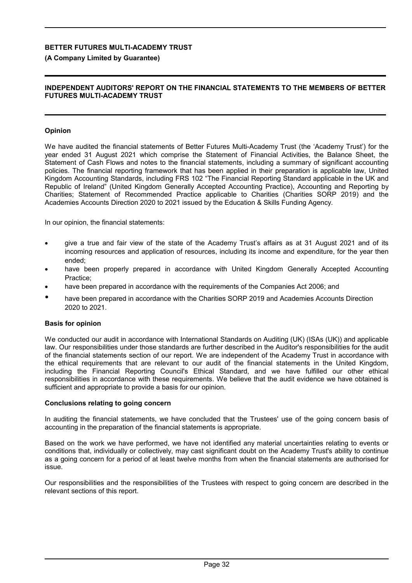### **(A Company Limited by Guarantee)**

### **INDEPENDENT AUDITORS' REPORT ON THE FINANCIAL STATEMENTS TO THE MEMBERS OF BETTER FUTURES MULTI-ACADEMY TRUST**

### **Opinion**

We have audited the financial statements of Better Futures Multi-Academy Trust (the 'Academy Trust') for the year ended 31 August 2021 which comprise the Statement of Financial Activities, the Balance Sheet, the Statement of Cash Flows and notes to the financial statements, including a summary of significant accounting policies. The financial reporting framework that has been applied in their preparation is applicable law, United Kingdom Accounting Standards, including FRS 102 "The Financial Reporting Standard applicable in the UK and Republic of Ireland" (United Kingdom Generally Accepted Accounting Practice), Accounting and Reporting by Charities; Statement of Recommended Practice applicable to Charities (Charities SORP 2019) and the Academies Accounts Direction 2020 to 2021 issued by the Education & Skills Funding Agency.

In our opinion, the financial statements:

- give a true and fair view of the state of the Academy Trust's affairs as at 31 August 2021 and of its incoming resources and application of resources, including its income and expenditure, for the year then ended;
- have been properly prepared in accordance with United Kingdom Generally Accepted Accounting Practice;
- have been prepared in accordance with the requirements of the Companies Act 2006; and
- have been prepared in accordance with the Charities SORP 2019 and Academies Accounts Direction 2020 to 2021.

### **Basis for opinion**

We conducted our audit in accordance with International Standards on Auditing (UK) (ISAs (UK)) and applicable law. Our responsibilities under those standards are further described in the Auditor's responsibilities for the audit of the financial statements section of our report. We are independent of the Academy Trust in accordance with the ethical requirements that are relevant to our audit of the financial statements in the United Kingdom, including the Financial Reporting Council's Ethical Standard, and we have fulfilled our other ethical responsibilities in accordance with these requirements. We believe that the audit evidence we have obtained is sufficient and appropriate to provide a basis for our opinion.

### **Conclusions relating to going concern**

In auditing the financial statements, we have concluded that the Trustees' use of the going concern basis of accounting in the preparation of the financial statements is appropriate.

Based on the work we have performed, we have not identified any material uncertainties relating to events or conditions that, individually or collectively, may cast significant doubt on the Academy Trust's ability to continue as a going concern for a period of at least twelve months from when the financial statements are authorised for issue.

Our responsibilities and the responsibilities of the Trustees with respect to going concern are described in the relevant sections of this report.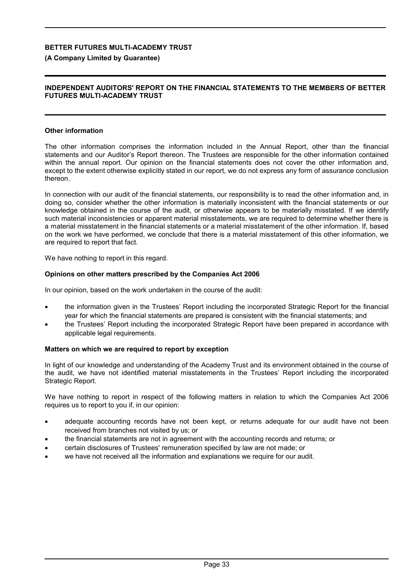### **(A Company Limited by Guarantee)**

### **INDEPENDENT AUDITORS' REPORT ON THE FINANCIAL STATEMENTS TO THE MEMBERS OF BETTER FUTURES MULTI-ACADEMY TRUST**

### **Other information**

The other information comprises the information included in the Annual Report, other than the financial statements and our Auditor's Report thereon. The Trustees are responsible for the other information contained within the annual report. Our opinion on the financial statements does not cover the other information and, except to the extent otherwise explicitly stated in our report, we do not express any form of assurance conclusion thereon.

In connection with our audit of the financial statements, our responsibility is to read the other information and, in doing so, consider whether the other information is materially inconsistent with the financial statements or our knowledge obtained in the course of the audit, or otherwise appears to be materially misstated. If we identify such material inconsistencies or apparent material misstatements, we are required to determine whether there is a material misstatement in the financial statements or a material misstatement of the other information. If, based on the work we have performed, we conclude that there is a material misstatement of this other information, we are required to report that fact.

We have nothing to report in this regard.

### **Opinions on other matters prescribed by the Companies Act 2006**

In our opinion, based on the work undertaken in the course of the audit:

- the information given in the Trustees' Report including the incorporated Strategic Report for the financial year for which the financial statements are prepared is consistent with the financial statements; and
- the Trustees' Report including the incorporated Strategic Report have been prepared in accordance with applicable legal requirements.

### **Matters on which we are required to report by exception**

In light of our knowledge and understanding of the Academy Trust and its environment obtained in the course of the audit, we have not identified material misstatements in the Trustees' Report including the incorporated Strategic Report.

We have nothing to report in respect of the following matters in relation to which the Companies Act 2006 requires us to report to you if, in our opinion:

- adequate accounting records have not been kept, or returns adequate for our audit have not been received from branches not visited by us; or
- the financial statements are not in agreement with the accounting records and returns; or
- certain disclosures of Trustees' remuneration specified by law are not made; or
- we have not received all the information and explanations we require for our audit.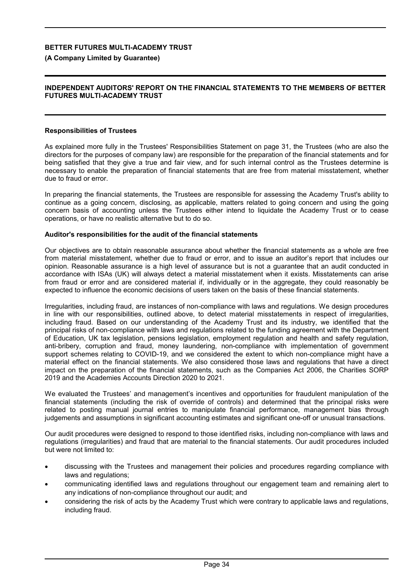**(A Company Limited by Guarantee)**

### **INDEPENDENT AUDITORS' REPORT ON THE FINANCIAL STATEMENTS TO THE MEMBERS OF BETTER FUTURES MULTI-ACADEMY TRUST**

### **Responsibilities of Trustees**

As explained more fully in the Trustees' Responsibilities Statement on page 31, the Trustees (who are also the directors for the purposes of company law) are responsible for the preparation of the financial statements and for being satisfied that they give a true and fair view, and for such internal control as the Trustees determine is necessary to enable the preparation of financial statements that are free from material misstatement, whether due to fraud or error.

In preparing the financial statements, the Trustees are responsible for assessing the Academy Trust's ability to continue as a going concern, disclosing, as applicable, matters related to going concern and using the going concern basis of accounting unless the Trustees either intend to liquidate the Academy Trust or to cease operations, or have no realistic alternative but to do so.

### **Auditor's responsibilities for the audit of the financial statements**

Our objectives are to obtain reasonable assurance about whether the financial statements as a whole are free from material misstatement, whether due to fraud or error, and to issue an auditor's report that includes our opinion. Reasonable assurance is a high level of assurance but is not a guarantee that an audit conducted in accordance with ISAs (UK) will always detect a material misstatement when it exists. Misstatements can arise from fraud or error and are considered material if, individually or in the aggregate, they could reasonably be expected to influence the economic decisions of users taken on the basis of these financial statements.

Irregularities, including fraud, are instances of non-compliance with laws and regulations. We design procedures in line with our responsibilities, outlined above, to detect material misstatements in respect of irregularities, including fraud. Based on our understanding of the Academy Trust and its industry, we identified that the principal risks of non-compliance with laws and regulations related to the funding agreement with the Department of Education, UK tax legislation, pensions legislation, employment regulation and health and safety regulation, anti-bribery, corruption and fraud, money laundering, non-compliance with implementation of government support schemes relating to COVID-19, and we considered the extent to which non-compliance might have a material effect on the financial statements. We also considered those laws and regulations that have a direct impact on the preparation of the financial statements, such as the Companies Act 2006, the Charities SORP 2019 and the Academies Accounts Direction 2020 to 2021.

We evaluated the Trustees' and management's incentives and opportunities for fraudulent manipulation of the financial statements (including the risk of override of controls) and determined that the principal risks were related to posting manual journal entries to manipulate financial performance, management bias through judgements and assumptions in significant accounting estimates and significant one-off or unusual transactions.

Our audit procedures were designed to respond to those identified risks, including non-compliance with laws and regulations (irregularities) and fraud that are material to the financial statements. Our audit procedures included but were not limited to:

- discussing with the Trustees and management their policies and procedures regarding compliance with laws and regulations;
- communicating identified laws and regulations throughout our engagement team and remaining alert to any indications of non-compliance throughout our audit; and
- considering the risk of acts by the Academy Trust which were contrary to applicable laws and regulations, including fraud.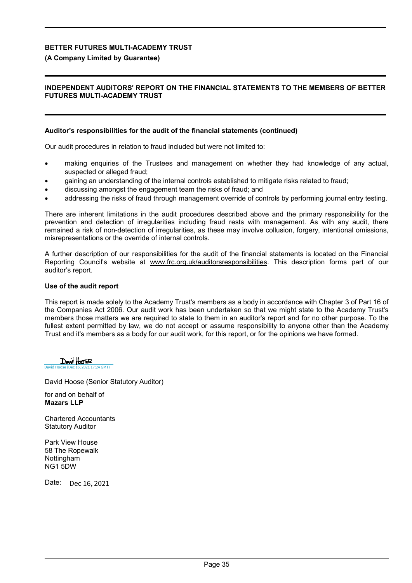### **(A Company Limited by Guarantee)**

### **INDEPENDENT AUDITORS' REPORT ON THE FINANCIAL STATEMENTS TO THE MEMBERS OF BETTER FUTURES MULTI-ACADEMY TRUST**

### **Auditor's responsibilities for the audit of the financial statements (continued)**

Our audit procedures in relation to fraud included but were not limited to:

- making enquiries of the Trustees and management on whether they had knowledge of any actual, suspected or alleged fraud;
- gaining an understanding of the internal controls established to mitigate risks related to fraud;
- discussing amongst the engagement team the risks of fraud; and
- addressing the risks of fraud through management override of controls by performing journal entry testing.

There are inherent limitations in the audit procedures described above and the primary responsibility for the prevention and detection of irregularities including fraud rests with management. As with any audit, there remained a risk of non-detection of irregularities, as these may involve collusion, forgery, intentional omissions, misrepresentations or the override of internal controls.

A further description of our responsibilities for the audit of the financial statements is located on the Financial Reporting Council's website at www.frc.org.uk/auditorsresponsibilities. This description forms part of our auditor's report.

### **Use of the audit report**

This report is made solely to the Academy Trust's members as a body in accordance with Chapter 3 of Part 16 of the Companies Act 2006. Our audit work has been undertaken so that we might state to the Academy Trust's members those matters we are required to state to them in an auditor's report and for no other purpose. To the fullest extent permitted by law, we do not accept or assume responsibility to anyone other than the Academy Trust and it's members as a body for our audit work, for this report, or for the opinions we have formed.

Dovid Hoose  $\overline{17:24 \text{ GMT}}}$ 

David Hoose (Senior Statutory Auditor)

for and on behalf of **Mazars LLP**

Chartered Accountants Statutory Auditor

Park View House 58 The Ropewalk Nottingham NG1 5DW

Date: Dec 16, 2021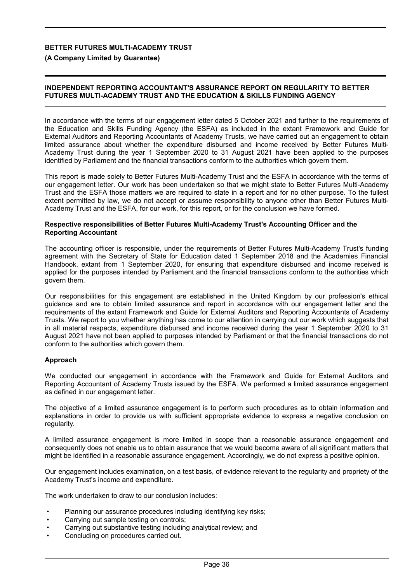**(A Company Limited by Guarantee)**

### **INDEPENDENT REPORTING ACCOUNTANT'S ASSURANCE REPORT ON REGULARITY TO BETTER FUTURES MULTI-ACADEMY TRUST AND THE EDUCATION & SKILLS FUNDING AGENCY**

In accordance with the terms of our engagement letter dated 5 October 2021 and further to the requirements of the Education and Skills Funding Agency (the ESFA) as included in the extant Framework and Guide for External Auditors and Reporting Accountants of Academy Trusts, we have carried out an engagement to obtain limited assurance about whether the expenditure disbursed and income received by Better Futures Multi-Academy Trust during the year 1 September 2020 to 31 August 2021 have been applied to the purposes identified by Parliament and the financial transactions conform to the authorities which govern them.

This report is made solely to Better Futures Multi-Academy Trust and the ESFA in accordance with the terms of our engagement letter. Our work has been undertaken so that we might state to Better Futures Multi-Academy Trust and the ESFA those matters we are required to state in a report and for no other purpose. To the fullest extent permitted by law, we do not accept or assume responsibility to anyone other than Better Futures Multi-Academy Trust and the ESFA, for our work, for this report, or for the conclusion we have formed.

### **Respective responsibilities of Better Futures Multi-Academy Trust's Accounting Officer and the Reporting Accountant**

The accounting officer is responsible, under the requirements of Better Futures Multi-Academy Trust's funding agreement with the Secretary of State for Education dated 1 September 2018 and the Academies Financial Handbook, extant from 1 September 2020, for ensuring that expenditure disbursed and income received is applied for the purposes intended by Parliament and the financial transactions conform to the authorities which govern them.

Our responsibilities for this engagement are established in the United Kingdom by our profession's ethical guidance and are to obtain limited assurance and report in accordance with our engagement letter and the requirements of the extant Framework and Guide for External Auditors and Reporting Accountants of Academy Trusts. We report to you whether anything has come to our attention in carrying out our work which suggests that in all material respects, expenditure disbursed and income received during the year 1 September 2020 to 31 August 2021 have not been applied to purposes intended by Parliament or that the financial transactions do not conform to the authorities which govern them.

### **Approach**

We conducted our engagement in accordance with the Framework and Guide for External Auditors and Reporting Accountant of Academy Trusts issued by the ESFA. We performed a limited assurance engagement as defined in our engagement letter.

The objective of a limited assurance engagement is to perform such procedures as to obtain information and explanations in order to provide us with sufficient appropriate evidence to express a negative conclusion on regularity.

A limited assurance engagement is more limited in scope than a reasonable assurance engagement and consequently does not enable us to obtain assurance that we would become aware of all significant matters that might be identified in a reasonable assurance engagement. Accordingly, we do not express a positive opinion.

Our engagement includes examination, on a test basis, of evidence relevant to the regularity and propriety of the Academy Trust's income and expenditure.

The work undertaken to draw to our conclusion includes:

- Planning our assurance procedures including identifying key risks;
- Carrying out sample testing on controls;
- Carrying out substantive testing including analytical review; and
- Concluding on procedures carried out.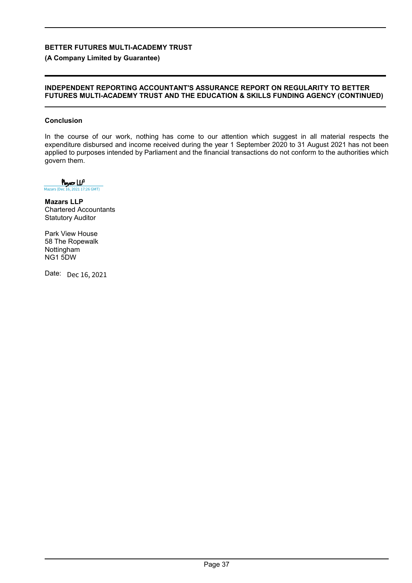**(A Company Limited by Guarantee)**

### **INDEPENDENT REPORTING ACCOUNTANT'S ASSURANCE REPORT ON REGULARITY TO BETTER FUTURES MULTI-ACADEMY TRUST AND THE EDUCATION & SKILLS FUNDING AGENCY (CONTINUED)**

### **Conclusion**

In the course of our work, nothing has come to our attention which suggest in all material respects the expenditure disbursed and income received during the year 1 September 2020 to 31 August 2021 has not been applied to purposes intended by Parliament and the financial transactions do not conform to the authorities which govern them.

 $M_{\text{max}}$  (Dec 16, 2021 17:26 GMT)

**Mazars LLP** Chartered Accountants Statutory Auditor

Park View House 58 The Ropewalk Nottingham NG1 5DW

Date: Dec 16, 2021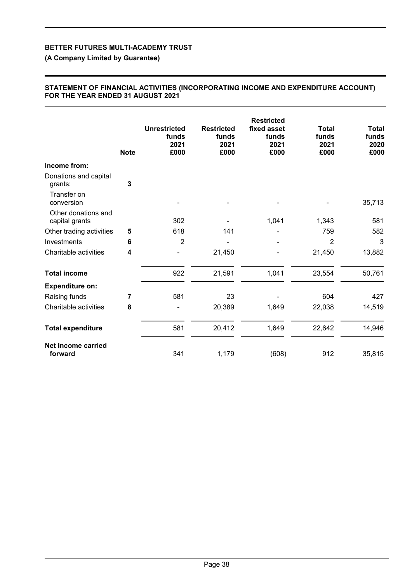**(A Company Limited by Guarantee)**

### **STATEMENT OF FINANCIAL ACTIVITIES (INCORPORATING INCOME AND EXPENDITURE ACCOUNT) FOR THE YEAR ENDED 31 AUGUST 2021**

|                                       | <b>Note</b>             | <b>Unrestricted</b><br>funds<br>2021<br>£000 | <b>Restricted</b><br>funds<br>2021<br>£000 | <b>Restricted</b><br>fixed asset<br>funds<br>2021<br>£000 | <b>Total</b><br>funds<br>2021<br>£000 | <b>Total</b><br>funds<br>2020<br>£000 |
|---------------------------------------|-------------------------|----------------------------------------------|--------------------------------------------|-----------------------------------------------------------|---------------------------------------|---------------------------------------|
| Income from:                          |                         |                                              |                                            |                                                           |                                       |                                       |
| Donations and capital<br>grants:      | 3                       |                                              |                                            |                                                           |                                       |                                       |
| Transfer on<br>conversion             |                         |                                              |                                            |                                                           |                                       | 35,713                                |
| Other donations and<br>capital grants |                         | 302                                          |                                            | 1,041                                                     | 1,343                                 | 581                                   |
| Other trading activities              | 5                       | 618                                          | 141                                        |                                                           | 759                                   | 582                                   |
| Investments                           | 6                       | 2                                            |                                            |                                                           | $\overline{2}$                        | 3                                     |
| Charitable activities                 | $\overline{\mathbf{4}}$ |                                              | 21,450                                     |                                                           | 21,450                                | 13,882                                |
| <b>Total income</b>                   |                         | 922                                          | 21,591                                     | 1,041                                                     | 23,554                                | 50,761                                |
| <b>Expenditure on:</b>                |                         |                                              |                                            |                                                           |                                       |                                       |
| Raising funds                         | 7                       | 581                                          | 23                                         |                                                           | 604                                   | 427                                   |
| Charitable activities                 | 8                       |                                              | 20,389                                     | 1,649                                                     | 22,038                                | 14,519                                |
| <b>Total expenditure</b>              |                         | 581                                          | 20,412                                     | 1,649                                                     | 22,642                                | 14,946                                |
| Net income carried<br>forward         |                         | 341                                          | 1,179                                      | (608)                                                     | 912                                   | 35,815                                |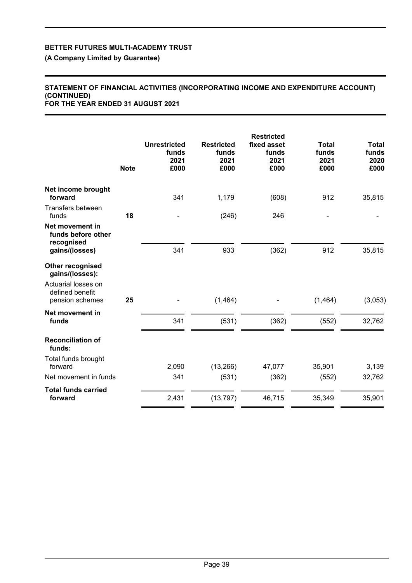**(A Company Limited by Guarantee)**

## **STATEMENT OF FINANCIAL ACTIVITIES (INCORPORATING INCOME AND EXPENDITURE ACCOUNT) (CONTINUED)**

**FOR THE YEAR ENDED 31 AUGUST 2021**

|                                                                                                  | <b>Note</b> | <b>Unrestricted</b><br>funds<br>2021<br>£000 | <b>Restricted</b><br>funds<br>2021<br>£000 | <b>Restricted</b><br>fixed asset<br>funds<br>2021<br>£000 | <b>Total</b><br>funds<br>2021<br>£000 | <b>Total</b><br>funds<br>2020<br>£000 |
|--------------------------------------------------------------------------------------------------|-------------|----------------------------------------------|--------------------------------------------|-----------------------------------------------------------|---------------------------------------|---------------------------------------|
| Net income brought<br>forward                                                                    |             | 341                                          | 1,179                                      | (608)                                                     | 912                                   | 35,815                                |
| Transfers between<br>funds                                                                       | 18          |                                              | (246)                                      | 246                                                       |                                       |                                       |
| Net movement in<br>funds before other<br>recognised<br>gains/(losses)                            |             | 341                                          | 933                                        | (362)                                                     | 912                                   | 35,815                                |
| Other recognised<br>gains/(losses):<br>Actuarial losses on<br>defined benefit<br>pension schemes | 25          |                                              | (1, 464)                                   |                                                           | (1, 464)                              | (3,053)                               |
| Net movement in<br>funds                                                                         |             | 341                                          | (531)                                      | (362)                                                     | (552)                                 | 32,762                                |
| <b>Reconciliation of</b><br>funds:                                                               |             |                                              |                                            |                                                           |                                       |                                       |
| Total funds brought<br>forward                                                                   |             | 2,090                                        | (13, 266)                                  | 47,077                                                    | 35,901                                | 3,139                                 |
| Net movement in funds                                                                            |             | 341                                          | (531)                                      | (362)                                                     | (552)                                 | 32,762                                |
| <b>Total funds carried</b><br>forward                                                            |             | 2,431                                        | (13, 797)                                  | 46,715                                                    | 35,349                                | 35,901                                |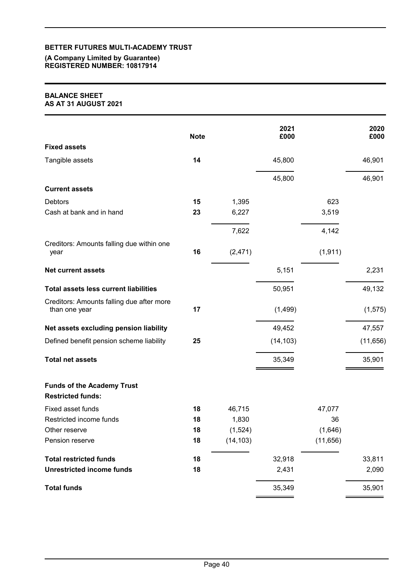### **(A Company Limited by Guarantee) REGISTERED NUMBER: 10817914**

### **BALANCE SHEET AS AT 31 AUGUST 2021**

|                                                               | <b>Note</b> |           | 2021<br>£000 |           | 2020<br>£000 |
|---------------------------------------------------------------|-------------|-----------|--------------|-----------|--------------|
| <b>Fixed assets</b>                                           |             |           |              |           |              |
| Tangible assets                                               | 14          |           | 45,800       |           | 46,901       |
|                                                               |             |           | 45,800       |           | 46,901       |
| <b>Current assets</b>                                         |             |           |              |           |              |
| <b>Debtors</b>                                                | 15          | 1,395     |              | 623       |              |
| Cash at bank and in hand                                      | 23          | 6,227     |              | 3,519     |              |
|                                                               |             | 7,622     |              | 4,142     |              |
| Creditors: Amounts falling due within one<br>year             | 16          | (2, 471)  |              | (1, 911)  |              |
| <b>Net current assets</b>                                     |             |           | 5,151        |           | 2,231        |
| <b>Total assets less current liabilities</b>                  |             |           | 50,951       |           | 49,132       |
| Creditors: Amounts falling due after more<br>than one year    | 17          |           | (1,499)      |           | (1, 575)     |
| Net assets excluding pension liability                        |             |           | 49,452       |           | 47,557       |
| Defined benefit pension scheme liability                      | 25          |           | (14, 103)    |           | (11, 656)    |
| <b>Total net assets</b>                                       |             |           | 35,349       |           | 35,901       |
| <b>Funds of the Academy Trust</b><br><b>Restricted funds:</b> |             |           |              |           |              |
| Fixed asset funds                                             | 18          | 46,715    |              | 47,077    |              |
| Restricted income funds                                       | 18          | 1,830     |              | 36        |              |
| Other reserve                                                 | 18          | (1,524)   |              | (1,646)   |              |
| Pension reserve                                               | 18          | (14, 103) |              | (11, 656) |              |
| <b>Total restricted funds</b>                                 | 18          |           | 32,918       |           | 33,811       |
| <b>Unrestricted income funds</b>                              | 18          |           | 2,431        |           | 2,090        |
| <b>Total funds</b>                                            |             |           | 35,349       |           | 35,901       |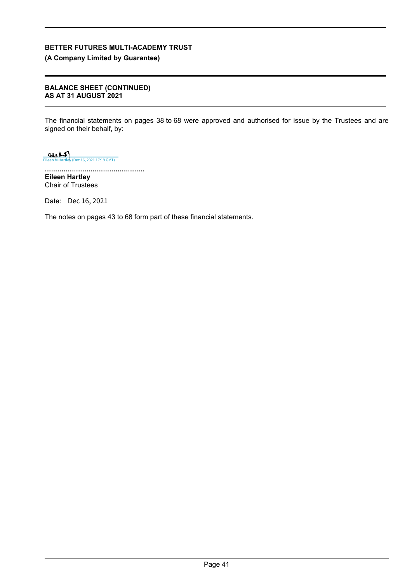**(A Company Limited by Guarantee)**

### **BALANCE SHEET (CONTINUED) AS AT 31 AUGUST 2021**

The financial statements on pages 38 to 68 were approved and authorised for issue by the Trustees and are signed on their behalf, by:

 $\frac{1}{\frac{1}{\sqrt{1+\frac{1}{\sqrt{1+\frac{1}{\sqrt{1+\frac{1}{\sqrt{1+\frac{1}{\sqrt{1+\frac{1}{\sqrt{1+\frac{1}{\sqrt{1+\frac{1}{\sqrt{1+\frac{1}{\sqrt{1+\frac{1}{\sqrt{1+\frac{1}{\sqrt{1+\frac{1}{\sqrt{1+\frac{1}{\sqrt{1+\frac{1}{\sqrt{1+\frac{1}{\sqrt{1+\frac{1}{\sqrt{1+\frac{1}{\sqrt{1+\frac{1}{\sqrt{1+\frac{1}{\sqrt{1+\frac{1}{\sqrt{1+\frac{1}{\sqrt{1+\frac{1}{\sqrt{1+\frac{1}{\sqrt{1+\frac{1}{\sqrt{$ 

................................................ **Eileen Hartley** Chair of Trustees

Date: Dec 16, 2021

The notes on pages 43 to 68 form part of these financial statements.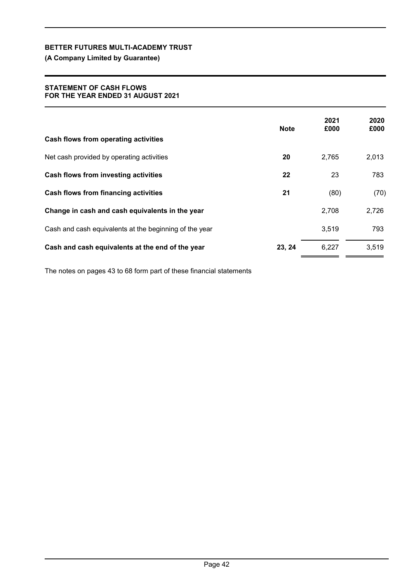**(A Company Limited by Guarantee)**

### **STATEMENT OF CASH FLOWS FOR THE YEAR ENDED 31 AUGUST 2021**

| Cash flows from operating activities                   | <b>Note</b> | 2021<br>£000 | 2020<br>£000 |
|--------------------------------------------------------|-------------|--------------|--------------|
| Net cash provided by operating activities              | 20          | 2,765        | 2,013        |
| Cash flows from investing activities                   | 22          | 23           | 783          |
| Cash flows from financing activities                   | 21          | (80)         | (70)         |
| Change in cash and cash equivalents in the year        |             | 2,708        | 2,726        |
| Cash and cash equivalents at the beginning of the year |             | 3,519        | 793          |
| Cash and cash equivalents at the end of the year       | 23, 24      | 6,227        | 3,519        |

The notes on pages 43 to 68 form part of these financial statements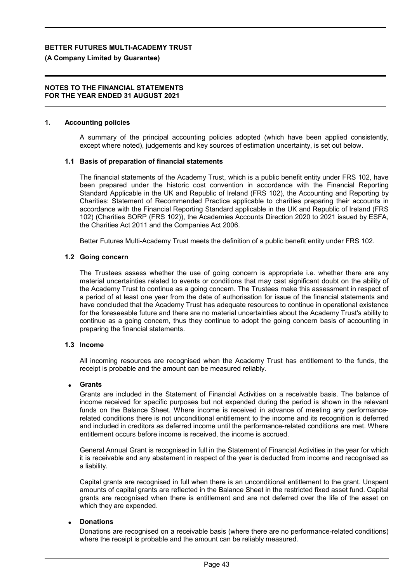### **(A Company Limited by Guarantee)**

### **NOTES TO THE FINANCIAL STATEMENTS FOR THE YEAR ENDED 31 AUGUST 2021**

### **1. Accounting policies**

A summary of the principal accounting policies adopted (which have been applied consistently, except where noted), judgements and key sources of estimation uncertainty, is set out below.

### **1.1 Basis of preparation of financial statements**

The financial statements of the Academy Trust, which is a public benefit entity under FRS 102, have been prepared under the historic cost convention in accordance with the Financial Reporting Standard Applicable in the UK and Republic of Ireland (FRS 102), the Accounting and Reporting by Charities: Statement of Recommended Practice applicable to charities preparing their accounts in accordance with the Financial Reporting Standard applicable in the UK and Republic of Ireland (FRS 102) (Charities SORP (FRS 102)), the Academies Accounts Direction 2020 to 2021 issued by ESFA, the Charities Act 2011 and the Companies Act 2006.

Better Futures Multi-Academy Trust meets the definition of a public benefit entity under FRS 102.

### **1.2 Going concern**

The Trustees assess whether the use of going concern is appropriate i.e. whether there are any material uncertainties related to events or conditions that may cast significant doubt on the ability of the Academy Trust to continue as a going concern. The Trustees make this assessment in respect of a period of at least one year from the date of authorisation for issue of the financial statements and have concluded that the Academy Trust has adequate resources to continue in operational existence for the foreseeable future and there are no material uncertainties about the Academy Trust's ability to continue as a going concern, thus they continue to adopt the going concern basis of accounting in preparing the financial statements.

### **1.3 Income**

All incoming resources are recognised when the Academy Trust has entitlement to the funds, the receipt is probable and the amount can be measured reliably.

### **Grants**

Grants are included in the Statement of Financial Activities on a receivable basis. The balance of income received for specific purposes but not expended during the period is shown in the relevant funds on the Balance Sheet. Where income is received in advance of meeting any performancerelated conditions there is not unconditional entitlement to the income and its recognition is deferred and included in creditors as deferred income until the performance-related conditions are met. Where entitlement occurs before income is received, the income is accrued.

General Annual Grant is recognised in full in the Statement of Financial Activities in the year for which it is receivable and any abatement in respect of the year is deducted from income and recognised as a liability.

Capital grants are recognised in full when there is an unconditional entitlement to the grant. Unspent amounts of capital grants are reflected in the Balance Sheet in the restricted fixed asset fund. Capital grants are recognised when there is entitlement and are not deferred over the life of the asset on which they are expended.

### **Donations**

Donations are recognised on a receivable basis (where there are no performance-related conditions) where the receipt is probable and the amount can be reliably measured.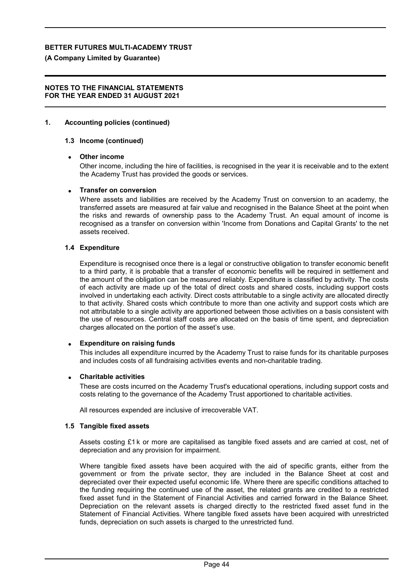### **(A Company Limited by Guarantee)**

### **NOTES TO THE FINANCIAL STATEMENTS FOR THE YEAR ENDED 31 AUGUST 2021**

### **1. Accounting policies (continued)**

### **1.3 Income (continued)**

### **Other income**

Other income, including the hire of facilities, is recognised in the year it is receivable and to the extent the Academy Trust has provided the goods or services.

### **Transfer on conversion**

Where assets and liabilities are received by the Academy Trust on conversion to an academy, the transferred assets are measured at fair value and recognised in the Balance Sheet at the point when the risks and rewards of ownership pass to the Academy Trust. An equal amount of income is recognised as a transfer on conversion within 'Income from Donations and Capital Grants' to the net assets received.

## **1.4 Expenditure**

Expenditure is recognised once there is a legal or constructive obligation to transfer economic benefit to a third party, it is probable that a transfer of economic benefits will be required in settlement and the amount of the obligation can be measured reliably. Expenditure is classified by activity. The costs of each activity are made up of the total of direct costs and shared costs, including support costs involved in undertaking each activity. Direct costs attributable to a single activity are allocated directly to that activity. Shared costs which contribute to more than one activity and support costs which are not attributable to a single activity are apportioned between those activities on a basis consistent with the use of resources. Central staff costs are allocated on the basis of time spent, and depreciation charges allocated on the portion of the asset's use.

### **Expenditure on raising funds**

This includes all expenditure incurred by the Academy Trust to raise funds for its charitable purposes and includes costs of all fundraising activities events and non-charitable trading.

### **Charitable activities**

These are costs incurred on the Academy Trust's educational operations, including support costs and costs relating to the governance of the Academy Trust apportioned to charitable activities.

All resources expended are inclusive of irrecoverable VAT.

### **1.5 Tangible fixed assets**

Assets costing £1 k or more are capitalised as tangible fixed assets and are carried at cost, net of depreciation and any provision for impairment.

Where tangible fixed assets have been acquired with the aid of specific grants, either from the government or from the private sector, they are included in the Balance Sheet at cost and depreciated over their expected useful economic life. Where there are specific conditions attached to the funding requiring the continued use of the asset, the related grants are credited to a restricted fixed asset fund in the Statement of Financial Activities and carried forward in the Balance Sheet. Depreciation on the relevant assets is charged directly to the restricted fixed asset fund in the Statement of Financial Activities. Where tangible fixed assets have been acquired with unrestricted funds, depreciation on such assets is charged to the unrestricted fund.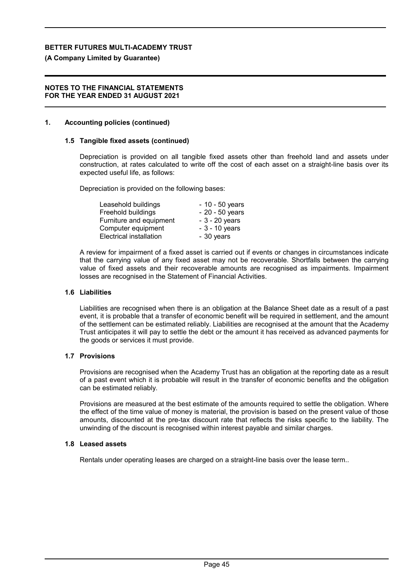### **(A Company Limited by Guarantee)**

### **NOTES TO THE FINANCIAL STATEMENTS FOR THE YEAR ENDED 31 AUGUST 2021**

### **1. Accounting policies (continued)**

### **1.5 Tangible fixed assets (continued)**

Depreciation is provided on all tangible fixed assets other than freehold land and assets under construction, at rates calculated to write off the cost of each asset on a straight-line basis over its expected useful life, as follows:

Depreciation is provided on the following bases:

| Leasehold buildings     | $-10 - 50$ years |
|-------------------------|------------------|
| Freehold buildings      | $-20 - 50$ years |
| Furniture and equipment | $-3 - 20$ years  |
| Computer equipment      | $-3 - 10$ years  |
| Electrical installation | - 30 years       |

A review for impairment of a fixed asset is carried out if events or changes in circumstances indicate that the carrying value of any fixed asset may not be recoverable. Shortfalls between the carrying value of fixed assets and their recoverable amounts are recognised as impairments. Impairment losses are recognised in the Statement of Financial Activities.

### **1.6 Liabilities**

Liabilities are recognised when there is an obligation at the Balance Sheet date as a result of a past event, it is probable that a transfer of economic benefit will be required in settlement, and the amount of the settlement can be estimated reliably. Liabilities are recognised at the amount that the Academy Trust anticipates it will pay to settle the debt or the amount it has received as advanced payments for the goods or services it must provide.

### **1.7 Provisions**

Provisions are recognised when the Academy Trust has an obligation at the reporting date as a result of a past event which it is probable will result in the transfer of economic benefits and the obligation can be estimated reliably.

Provisions are measured at the best estimate of the amounts required to settle the obligation. Where the effect of the time value of money is material, the provision is based on the present value of those amounts, discounted at the pre-tax discount rate that reflects the risks specific to the liability. The unwinding of the discount is recognised within interest payable and similar charges.

### **1.8 Leased assets**

Rentals under operating leases are charged on a straight-line basis over the lease term..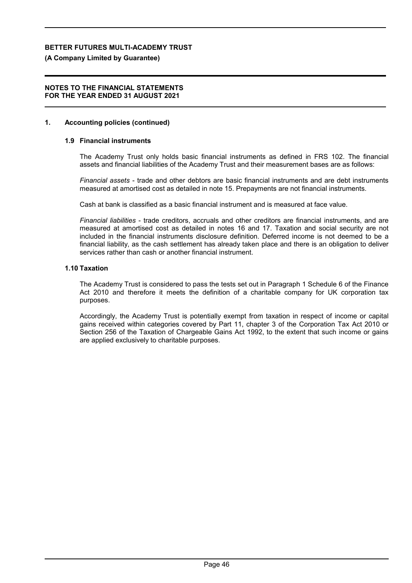### **(A Company Limited by Guarantee)**

### **NOTES TO THE FINANCIAL STATEMENTS FOR THE YEAR ENDED 31 AUGUST 2021**

### **1. Accounting policies (continued)**

### **1.9 Financial instruments**

The Academy Trust only holds basic financial instruments as defined in FRS 102. The financial assets and financial liabilities of the Academy Trust and their measurement bases are as follows:

*Financial assets* - trade and other debtors are basic financial instruments and are debt instruments measured at amortised cost as detailed in note 15. Prepayments are not financial instruments.

Cash at bank is classified as a basic financial instrument and is measured at face value.

*Financial liabilities* - trade creditors, accruals and other creditors are financial instruments, and are measured at amortised cost as detailed in notes 16 and 17. Taxation and social security are not included in the financial instruments disclosure definition. Deferred income is not deemed to be a financial liability, as the cash settlement has already taken place and there is an obligation to deliver services rather than cash or another financial instrument.

### **1.10 Taxation**

The Academy Trust is considered to pass the tests set out in Paragraph 1 Schedule 6 of the Finance Act 2010 and therefore it meets the definition of a charitable company for UK corporation tax purposes.

Accordingly, the Academy Trust is potentially exempt from taxation in respect of income or capital gains received within categories covered by Part 11, chapter 3 of the Corporation Tax Act 2010 or Section 256 of the Taxation of Chargeable Gains Act 1992, to the extent that such income or gains are applied exclusively to charitable purposes.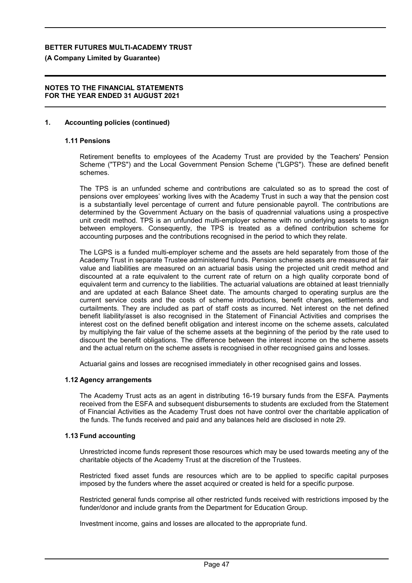**(A Company Limited by Guarantee)**

### **NOTES TO THE FINANCIAL STATEMENTS FOR THE YEAR ENDED 31 AUGUST 2021**

### **1. Accounting policies (continued)**

### **1.11 Pensions**

Retirement benefits to employees of the Academy Trust are provided by the Teachers' Pension Scheme ("TPS") and the Local Government Pension Scheme ("LGPS"). These are defined benefit schemes.

The TPS is an unfunded scheme and contributions are calculated so as to spread the cost of pensions over employees' working lives with the Academy Trust in such a way that the pension cost is a substantially level percentage of current and future pensionable payroll. The contributions are determined by the Government Actuary on the basis of quadrennial valuations using a prospective unit credit method. TPS is an unfunded multi-employer scheme with no underlying assets to assign between employers. Consequently, the TPS is treated as a defined contribution scheme for accounting purposes and the contributions recognised in the period to which they relate.

The LGPS is a funded multi-employer scheme and the assets are held separately from those of the Academy Trust in separate Trustee administered funds. Pension scheme assets are measured at fair value and liabilities are measured on an actuarial basis using the projected unit credit method and discounted at a rate equivalent to the current rate of return on a high quality corporate bond of equivalent term and currency to the liabilities. The actuarial valuations are obtained at least triennially and are updated at each Balance Sheet date. The amounts charged to operating surplus are the current service costs and the costs of scheme introductions, benefit changes, settlements and curtailments. They are included as part of staff costs as incurred. Net interest on the net defined benefit liability/asset is also recognised in the Statement of Financial Activities and comprises the interest cost on the defined benefit obligation and interest income on the scheme assets, calculated by multiplying the fair value of the scheme assets at the beginning of the period by the rate used to discount the benefit obligations. The difference between the interest income on the scheme assets and the actual return on the scheme assets is recognised in other recognised gains and losses.

Actuarial gains and losses are recognised immediately in other recognised gains and losses.

### **1.12 Agency arrangements**

The Academy Trust acts as an agent in distributing 16-19 bursary funds from the ESFA. Payments received from the ESFA and subsequent disbursements to students are excluded from the Statement of Financial Activities as the Academy Trust does not have control over the charitable application of the funds. The funds received and paid and any balances held are disclosed in note 29.

### **1.13 Fund accounting**

Unrestricted income funds represent those resources which may be used towards meeting any of the charitable objects of the Academy Trust at the discretion of the Trustees.

Restricted fixed asset funds are resources which are to be applied to specific capital purposes imposed by the funders where the asset acquired or created is held for a specific purpose.

Restricted general funds comprise all other restricted funds received with restrictions imposed by the funder/donor and include grants from the Department for Education Group.

Investment income, gains and losses are allocated to the appropriate fund.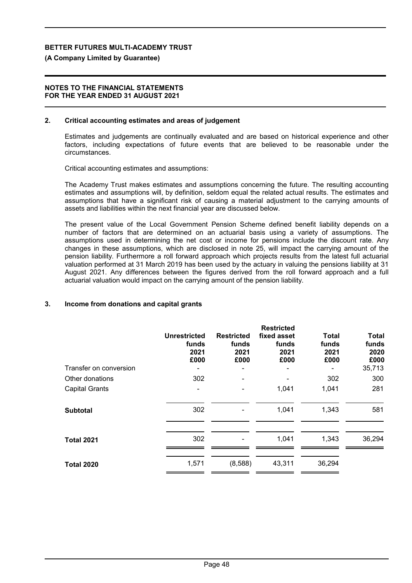### **(A Company Limited by Guarantee)**

### **NOTES TO THE FINANCIAL STATEMENTS FOR THE YEAR ENDED 31 AUGUST 2021**

### **2. Critical accounting estimates and areas of judgement**

Estimates and judgements are continually evaluated and are based on historical experience and other factors, including expectations of future events that are believed to be reasonable under the circumstances.

Critical accounting estimates and assumptions:

The Academy Trust makes estimates and assumptions concerning the future. The resulting accounting estimates and assumptions will, by definition, seldom equal the related actual results. The estimates and assumptions that have a significant risk of causing a material adjustment to the carrying amounts of assets and liabilities within the next financial year are discussed below.

The present value of the Local Government Pension Scheme defined benefit liability depends on a number of factors that are determined on an actuarial basis using a variety of assumptions. The assumptions used in determining the net cost or income for pensions include the discount rate. Any changes in these assumptions, which are disclosed in note 25, will impact the carrying amount of the pension liability. Furthermore a roll forward approach which projects results from the latest full actuarial valuation performed at 31 March 2019 has been used by the actuary in valuing the pensions liability at 31 August 2021. Any differences between the figures derived from the roll forward approach and a full actuarial valuation would impact on the carrying amount of the pension liability.

### **3. Income from donations and capital grants**

|                        | <b>Unrestricted</b><br>funds<br>2021<br>£000 | <b>Restricted</b><br>funds<br>2021<br>£000 | <b>Restricted</b><br>fixed asset<br>funds<br>2021<br>£000 | <b>Total</b><br>funds<br>2021<br>£000 | <b>Total</b><br>funds<br>2020<br>£000 |
|------------------------|----------------------------------------------|--------------------------------------------|-----------------------------------------------------------|---------------------------------------|---------------------------------------|
| Transfer on conversion |                                              |                                            |                                                           |                                       | 35,713                                |
| Other donations        | 302                                          |                                            |                                                           | 302                                   | 300                                   |
| <b>Capital Grants</b>  |                                              |                                            | 1,041                                                     | 1,041                                 | 281                                   |
| <b>Subtotal</b>        | 302                                          |                                            | 1,041                                                     | 1,343                                 | 581                                   |
| <b>Total 2021</b>      | 302                                          |                                            | 1,041                                                     | 1,343                                 | 36,294                                |
| <b>Total 2020</b>      | 1,571                                        | (8,588)                                    | 43,311                                                    | 36,294                                |                                       |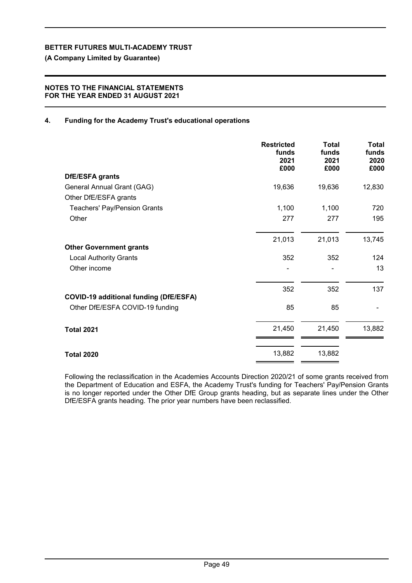**(A Company Limited by Guarantee)**

### **NOTES TO THE FINANCIAL STATEMENTS FOR THE YEAR ENDED 31 AUGUST 2021**

## **4. Funding for the Academy Trust's educational operations**

|                                               | <b>Restricted</b><br>funds<br>2021<br>£000 | <b>Total</b><br>funds<br>2021<br>£000 | Total<br>funds<br>2020<br>£000 |
|-----------------------------------------------|--------------------------------------------|---------------------------------------|--------------------------------|
| <b>DfE/ESFA</b> grants                        |                                            |                                       |                                |
| General Annual Grant (GAG)                    | 19,636                                     | 19,636                                | 12,830                         |
| Other DfE/ESFA grants                         |                                            |                                       |                                |
| <b>Teachers' Pay/Pension Grants</b>           | 1,100                                      | 1,100                                 | 720                            |
| Other                                         | 277                                        | 277                                   | 195                            |
|                                               | 21,013                                     | 21,013                                | 13,745                         |
| <b>Other Government grants</b>                |                                            |                                       |                                |
| <b>Local Authority Grants</b>                 | 352                                        | 352                                   | 124                            |
| Other income                                  |                                            | ۰                                     | 13                             |
|                                               | 352                                        | 352                                   | 137                            |
| <b>COVID-19 additional funding (DfE/ESFA)</b> |                                            |                                       |                                |
| Other DfE/ESFA COVID-19 funding               | 85                                         | 85                                    |                                |
| <b>Total 2021</b>                             | 21,450                                     | 21,450                                | 13,882                         |
| <b>Total 2020</b>                             | 13,882                                     | 13,882                                |                                |

Following the reclassification in the Academies Accounts Direction 2020/21 of some grants received from the Department of Education and ESFA, the Academy Trust's funding for Teachers' Pay/Pension Grants is no longer reported under the Other DfE Group grants heading, but as separate lines under the Other DfE/ESFA grants heading. The prior year numbers have been reclassified.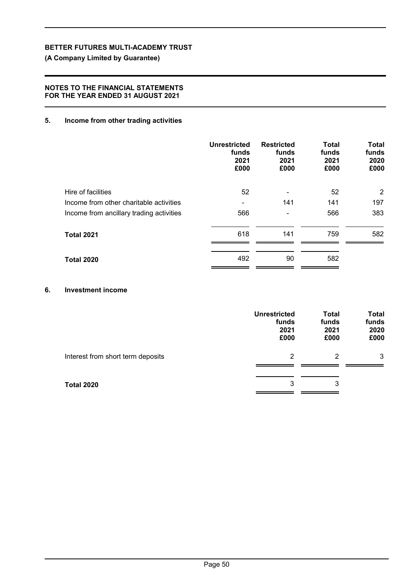## **(A Company Limited by Guarantee)**

## **NOTES TO THE FINANCIAL STATEMENTS FOR THE YEAR ENDED 31 AUGUST 2021**

## **5. Income from other trading activities**

|                                          | <b>Unrestricted</b><br>funds<br>2021<br>£000 | <b>Restricted</b><br>funds<br>2021<br>£000 | Total<br>funds<br>2021<br>£000 | <b>Total</b><br>funds<br>2020<br>£000 |
|------------------------------------------|----------------------------------------------|--------------------------------------------|--------------------------------|---------------------------------------|
| Hire of facilities                       | 52                                           | -                                          | 52                             | $\overline{2}$                        |
| Income from other charitable activities  |                                              | 141                                        | 141                            | 197                                   |
| Income from ancillary trading activities | 566                                          | -                                          | 566                            | 383                                   |
| <b>Total 2021</b>                        | 618                                          | 141                                        | 759                            | 582                                   |
| <b>Total 2020</b>                        | 492                                          | 90                                         | 582                            |                                       |

## **6. Investment income**

|                                   | <b>Unrestricted</b><br>funds<br>2021<br>£000 | <b>Total</b><br>funds<br>2021<br>£000 | <b>Total</b><br>funds<br>2020<br>£000 |
|-----------------------------------|----------------------------------------------|---------------------------------------|---------------------------------------|
| Interest from short term deposits | 2                                            | 2                                     | 3                                     |
| <b>Total 2020</b>                 | 3                                            | 3                                     |                                       |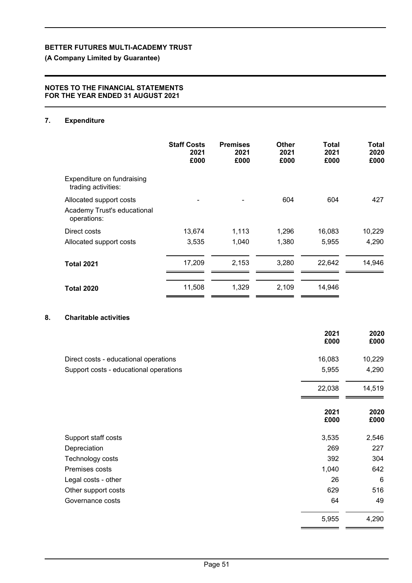**(A Company Limited by Guarantee)**

### **NOTES TO THE FINANCIAL STATEMENTS FOR THE YEAR ENDED 31 AUGUST 2021**

## **7. Expenditure**

|                                                                       | <b>Staff Costs</b><br>2021<br>£000 | <b>Premises</b><br>2021<br>£000 | <b>Other</b><br>2021<br>£000 | Total<br>2021<br>£000 | Total<br>2020<br>£000 |
|-----------------------------------------------------------------------|------------------------------------|---------------------------------|------------------------------|-----------------------|-----------------------|
| Expenditure on fundraising<br>trading activities:                     |                                    |                                 |                              |                       |                       |
| Allocated support costs<br>Academy Trust's educational<br>operations: |                                    |                                 | 604                          | 604                   | 427                   |
| Direct costs                                                          | 13,674                             | 1,113                           | 1,296                        | 16,083                | 10,229                |
| Allocated support costs                                               | 3,535                              | 1,040                           | 1,380                        | 5,955                 | 4,290                 |
| <b>Total 2021</b>                                                     | 17,209                             | 2,153                           | 3,280                        | 22,642                | 14,946                |
| <b>Total 2020</b>                                                     | 11,508                             | 1,329                           | 2,109                        | 14,946                |                       |

## **8. Charitable activities**

|                                        | 2021<br>£000 | 2020<br>£000    |
|----------------------------------------|--------------|-----------------|
| Direct costs - educational operations  | 16,083       | 10,229          |
| Support costs - educational operations | 5,955        | 4,290           |
|                                        | 22,038       | 14,519          |
|                                        | 2021<br>£000 | 2020<br>£000    |
| Support staff costs                    | 3,535        | 2,546           |
| Depreciation                           | 269          | 227             |
| Technology costs                       | 392          | 304             |
| Premises costs                         | 1,040        | 642             |
| Legal costs - other                    | 26           | $6\phantom{1}6$ |
| Other support costs                    | 629          | 516             |
| Governance costs                       | 64           | 49              |
|                                        | 5,955        | 4,290           |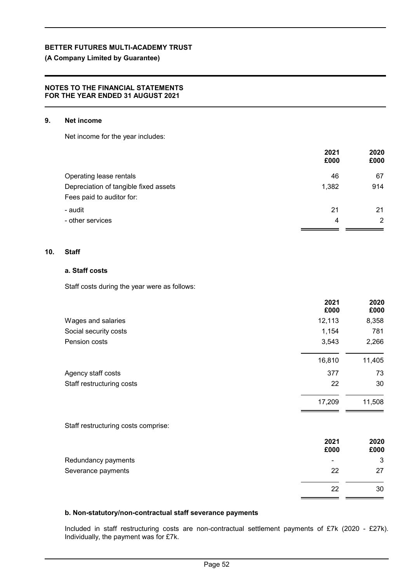**(A Company Limited by Guarantee)**

### **NOTES TO THE FINANCIAL STATEMENTS FOR THE YEAR ENDED 31 AUGUST 2021**

### **9. Net income**

Net income for the year includes:

|                                       | 2021  | 2020 |
|---------------------------------------|-------|------|
|                                       | £000  | £000 |
| Operating lease rentals               | 46    | 67   |
| Depreciation of tangible fixed assets | 1,382 | 914  |
| Fees paid to auditor for:             |       |      |
| - audit                               | 21    | 21   |
| - other services                      | 4     | 2    |
|                                       |       |      |

### **10. Staff**

## **a. Staff costs**

Staff costs during the year were as follows:

|                                     | 2021<br>£000 | 2020<br>£000 |
|-------------------------------------|--------------|--------------|
| Wages and salaries                  | 12,113       | 8,358        |
| Social security costs               | 1,154        | 781          |
| Pension costs                       | 3,543        | 2,266        |
|                                     | 16,810       | 11,405       |
| Agency staff costs                  | 377          | 73           |
| Staff restructuring costs           | 22           | 30           |
|                                     | 17,209       | 11,508       |
| Staff restructuring costs comprise: |              |              |
|                                     | 2021<br>£000 | 2020<br>£000 |
| Redundancy payments                 |              | 3            |
| Severance payments                  | 22           | 27           |
|                                     | 22           | 30           |

### **b. Non-statutory/non-contractual staff severance payments**

Included in staff restructuring costs are non-contractual settlement payments of £7k (2020 - £27k). Individually, the payment was for £7k.

. a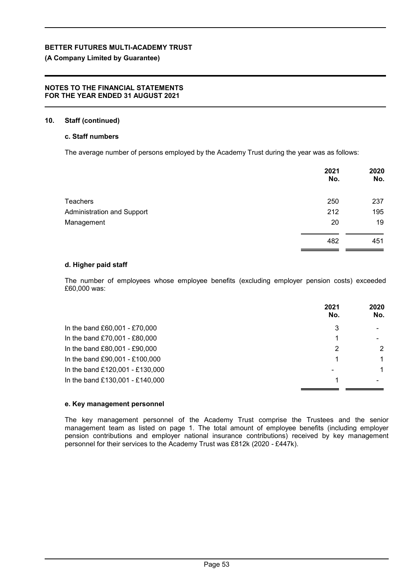## **(A Company Limited by Guarantee)**

### **NOTES TO THE FINANCIAL STATEMENTS FOR THE YEAR ENDED 31 AUGUST 2021**

### **10. Staff (continued)**

## **c. Staff numbers**

The average number of persons employed by the Academy Trust during the year was as follows:

|                                   | 2021<br>No. | 2020<br>No. |
|-----------------------------------|-------------|-------------|
| <b>Teachers</b>                   | 250         | 237         |
| <b>Administration and Support</b> | 212         | 195         |
| Management                        | 20          | 19          |
|                                   | 482         | 451         |

### **d. Higher paid staff**

The number of employees whose employee benefits (excluding employer pension costs) exceeded £60,000 was:

|                                 | 2021<br>No. | 2020<br>No. |
|---------------------------------|-------------|-------------|
| In the band £60,001 - £70,000   | 3           |             |
| In the band £70,001 - £80,000   |             |             |
| In the band £80,001 - £90,000   | 2           | 2           |
| In the band £90,001 - £100,000  |             | 1           |
| In the band £120,001 - £130,000 | ۰           | 1           |
| In the band £130,001 - £140,000 |             |             |

### **e. Key management personnel**

The key management personnel of the Academy Trust comprise the Trustees and the senior management team as listed on page 1. The total amount of employee benefits (including employer pension contributions and employer national insurance contributions) received by key management personnel for their services to the Academy Trust was £812k (2020 *-* £447k).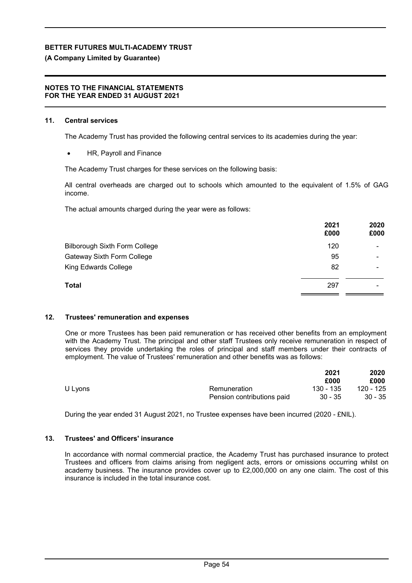### **(A Company Limited by Guarantee)**

### **NOTES TO THE FINANCIAL STATEMENTS FOR THE YEAR ENDED 31 AUGUST 2021**

### **11. Central services**

The Academy Trust has provided the following central services to its academies during the year:

HR, Payroll and Finance

The Academy Trust charges for these services on the following basis:

All central overheads are charged out to schools which amounted to the equivalent of 1.5% of GAG income.

The actual amounts charged during the year were as follows:

|                                      | 2021<br>£000 | 2020<br>£000 |
|--------------------------------------|--------------|--------------|
| <b>Bilborough Sixth Form College</b> | 120          | ۰            |
| Gateway Sixth Form College           | 95           | -            |
| King Edwards College                 | 82           | -            |
| Total                                | 297          | -            |
|                                      |              |              |

### **12. Trustees' remuneration and expenses**

One or more Trustees has been paid remuneration or has received other benefits from an employment with the Academy Trust. The principal and other staff Trustees only receive remuneration in respect of services they provide undertaking the roles of principal and staff members under their contracts of employment. The value of Trustees' remuneration and other benefits was as follows:

|         |                            | 2021      | 2020      |
|---------|----------------------------|-----------|-----------|
|         |                            | £000      | £000      |
| U Lyons | Remuneration               | 130 - 135 | 120 - 125 |
|         | Pension contributions paid | 30 - 35   | $30 - 35$ |

During the year ended 31 August 2021, no Trustee expenses have been incurred (2020 - £NIL).

### **13. Trustees' and Officers' insurance**

In accordance with normal commercial practice, the Academy Trust has purchased insurance to protect Trustees and officers from claims arising from negligent acts, errors or omissions occurring whilst on academy business. The insurance provides cover up to £2,000,000 on any one claim. The cost of this insurance is included in the total insurance cost.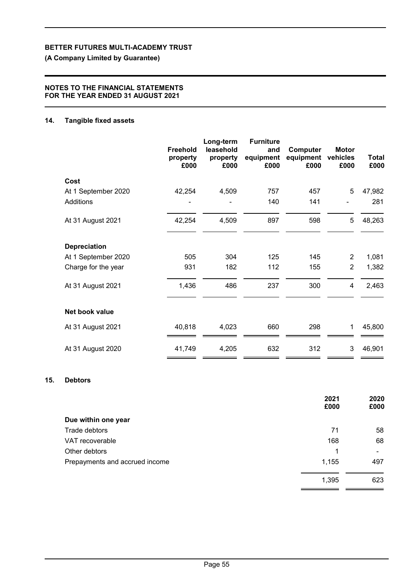**(A Company Limited by Guarantee)**

### **NOTES TO THE FINANCIAL STATEMENTS FOR THE YEAR ENDED 31 AUGUST 2021**

### **14. Tangible fixed assets**

|                     | <b>Freehold</b><br>property<br>£000 | Long-term<br>leasehold<br>property<br>£000 | <b>Furniture</b><br>and<br>equipment<br>£000 | Computer<br>equipment<br>£000 | <b>Motor</b><br>vehicles<br>£000 | <b>Total</b><br>£000 |
|---------------------|-------------------------------------|--------------------------------------------|----------------------------------------------|-------------------------------|----------------------------------|----------------------|
| Cost                |                                     |                                            |                                              |                               |                                  |                      |
| At 1 September 2020 | 42,254                              | 4,509                                      | 757                                          | 457                           | 5                                | 47,982               |
| Additions           |                                     |                                            | 140                                          | 141                           |                                  | 281                  |
| At 31 August 2021   | 42,254                              | 4,509                                      | 897                                          | 598                           | 5                                | 48,263               |
| <b>Depreciation</b> |                                     |                                            |                                              |                               |                                  |                      |
| At 1 September 2020 | 505                                 | 304                                        | 125                                          | 145                           | $\overline{2}$                   | 1,081                |
| Charge for the year | 931                                 | 182                                        | 112                                          | 155                           | $\overline{2}$                   | 1,382                |
| At 31 August 2021   | 1,436                               | 486                                        | 237                                          | 300                           | 4                                | 2,463                |
| Net book value      |                                     |                                            |                                              |                               |                                  |                      |
| At 31 August 2021   | 40,818                              | 4,023                                      | 660                                          | 298                           | 1                                | 45,800               |
| At 31 August 2020   | 41,749                              | 4,205                                      | 632                                          | 312                           | 3                                | 46,901               |

### **15. Debtors**

|                                | 2021<br>£000 | 2020<br>£000 |
|--------------------------------|--------------|--------------|
| Due within one year            |              |              |
| Trade debtors                  | 71           | 58           |
| VAT recoverable                | 168          | 68           |
| Other debtors                  | 1            | ۰            |
| Prepayments and accrued income | 1,155        | 497          |
|                                | 1,395        | 623          |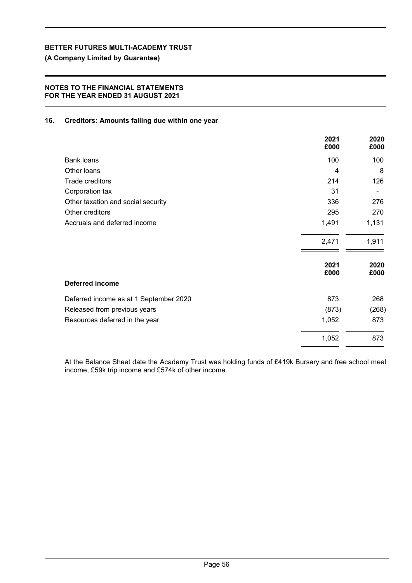**(A Company Limited by Guarantee)**

## **NOTES TO THE FINANCIAL STATEMENTS FOR THE YEAR ENDED 31 AUGUST 2021**

### **16. Creditors: Amounts falling due within one year**

|                                        | 2021<br>£000 | 2020<br>£000 |
|----------------------------------------|--------------|--------------|
| <b>Bank loans</b>                      | 100          | 100          |
| Other loans                            | 4            | 8            |
| Trade creditors                        | 214          | 126          |
| Corporation tax                        | 31           |              |
| Other taxation and social security     | 336          | 276          |
| Other creditors                        | 295          | 270          |
| Accruals and deferred income           | 1,491        | 1,131        |
|                                        | 2,471        | 1,911        |
|                                        | 2021<br>£000 | 2020<br>£000 |
| <b>Deferred income</b>                 |              |              |
| Deferred income as at 1 September 2020 | 873          | 268          |
| Released from previous years           | (873)        | (268)        |
| Resources deferred in the year         | 1,052        | 873          |
|                                        | 1,052        | 873          |

At the Balance Sheet date the Academy Trust was holding funds of £419k Bursary and free school meal income, £59k trip income and £574k of other income.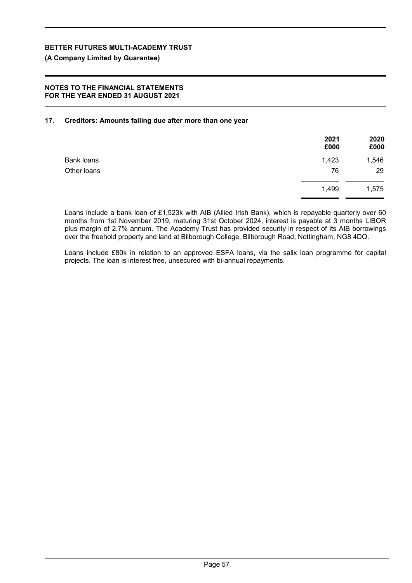**(A Company Limited by Guarantee)**

### **NOTES TO THE FINANCIAL STATEMENTS FOR THE YEAR ENDED 31 AUGUST 2021**

## **17. Creditors: Amounts falling due after more than one year**

|                   | 2021<br>£000 | 2020<br>£000 |
|-------------------|--------------|--------------|
| <b>Bank loans</b> | 1,423        | 1,546        |
| Other loans       | 76           | 29           |
|                   | 1,499        | 1,575        |

Loans include a bank loan of £1,523k with AIB (Allied Irish Bank), which is repayable quarterly over 60 months from 1st November 2019, maturing 31st October 2024, interest is payable at 3 months LIBOR plus margin of 2.7% annum. The Academy Trust has provided security in respect of its AIB borrowings over the freehold property and land at Bilborough College, Bilborough Road, Nottingham, NG8 4DQ.

Loans include £80k in relation to an approved ESFA loans, via the salix loan programme for capital projects. The loan is interest free, unsecured with bi-annual repayments.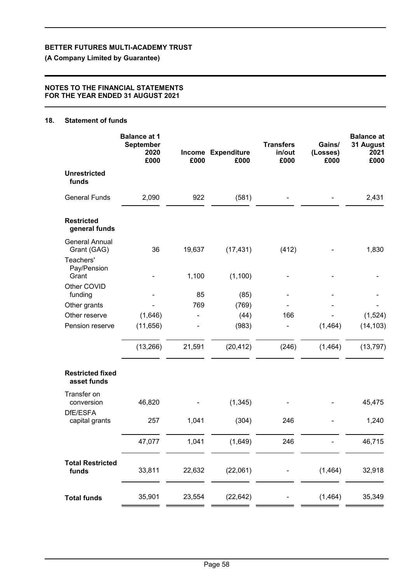**(A Company Limited by Guarantee)**

### **NOTES TO THE FINANCIAL STATEMENTS FOR THE YEAR ENDED 31 AUGUST 2021**

## **18. Statement of funds**

|                                        | <b>Balance at 1</b><br>September<br>2020<br>£000 | £000   | Income Expenditure<br>£000 | <b>Transfers</b><br>in/out<br>£000 | Gains/<br>(Losses)<br>£000 | <b>Balance at</b><br>31 August<br>2021<br>£000 |
|----------------------------------------|--------------------------------------------------|--------|----------------------------|------------------------------------|----------------------------|------------------------------------------------|
| <b>Unrestricted</b><br>funds           |                                                  |        |                            |                                    |                            |                                                |
| <b>General Funds</b>                   | 2,090                                            | 922    | (581)                      |                                    |                            | 2,431                                          |
| <b>Restricted</b><br>general funds     |                                                  |        |                            |                                    |                            |                                                |
| <b>General Annual</b><br>Grant (GAG)   | 36                                               | 19,637 | (17, 431)                  | (412)                              |                            | 1,830                                          |
| Teachers'<br>Pay/Pension<br>Grant      |                                                  | 1,100  | (1, 100)                   |                                    |                            |                                                |
| Other COVID<br>funding                 |                                                  | 85     | (85)                       |                                    |                            |                                                |
| Other grants                           |                                                  | 769    | (769)                      |                                    |                            |                                                |
| Other reserve                          | (1,646)                                          |        | (44)                       | 166                                |                            | (1, 524)                                       |
| Pension reserve                        | (11, 656)                                        |        | (983)                      |                                    | (1,464)                    | (14, 103)                                      |
|                                        | (13, 266)                                        | 21,591 | (20, 412)                  | (246)                              | (1,464)                    | (13, 797)                                      |
| <b>Restricted fixed</b><br>asset funds |                                                  |        |                            |                                    |                            |                                                |
| Transfer on<br>conversion              | 46,820                                           |        | (1, 345)                   |                                    |                            | 45,475                                         |
| DfE/ESFA<br>capital grants             | 257                                              | 1,041  | (304)                      | 246                                |                            | 1,240                                          |
|                                        | 47,077                                           | 1,041  | (1,649)                    | 246                                |                            | 46,715                                         |
| <b>Total Restricted</b><br>funds       | 33,811                                           | 22,632 | (22,061)                   |                                    | (1, 464)                   | 32,918                                         |
| <b>Total funds</b>                     | 35,901                                           | 23,554 | (22, 642)                  |                                    | (1, 464)                   | 35,349                                         |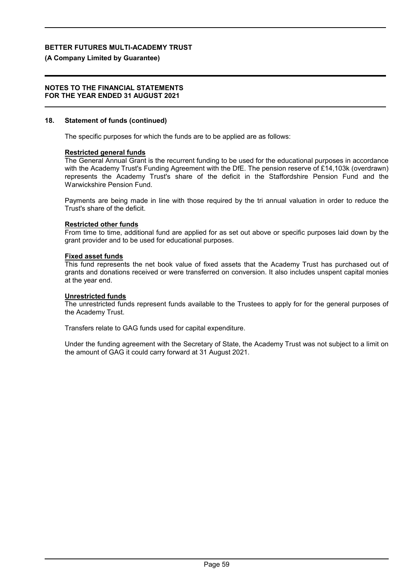### **(A Company Limited by Guarantee)**

### **NOTES TO THE FINANCIAL STATEMENTS FOR THE YEAR ENDED 31 AUGUST 2021**

### **18. Statement of funds (continued)**

The specific purposes for which the funds are to be applied are as follows:

### **Restricted general funds**

The General Annual Grant is the recurrent funding to be used for the educational purposes in accordance with the Academy Trust's Funding Agreement with the DfE. The pension reserve of £14,103k (overdrawn) represents the Academy Trust's share of the deficit in the Staffordshire Pension Fund and the Warwickshire Pension Fund.

Payments are being made in line with those required by the tri annual valuation in order to reduce the Trust's share of the deficit.

### **Restricted other funds**

From time to time, additional fund are applied for as set out above or specific purposes laid down by the grant provider and to be used for educational purposes.

### **Fixed asset funds**

This fund represents the net book value of fixed assets that the Academy Trust has purchased out of grants and donations received or were transferred on conversion. It also includes unspent capital monies at the year end.

### **Unrestricted funds**

The unrestricted funds represent funds available to the Trustees to apply for for the general purposes of the Academy Trust.

Transfers relate to GAG funds used for capital expenditure.

Under the funding agreement with the Secretary of State, the Academy Trust was not subject to a limit on the amount of GAG it could carry forward at 31 August 2021.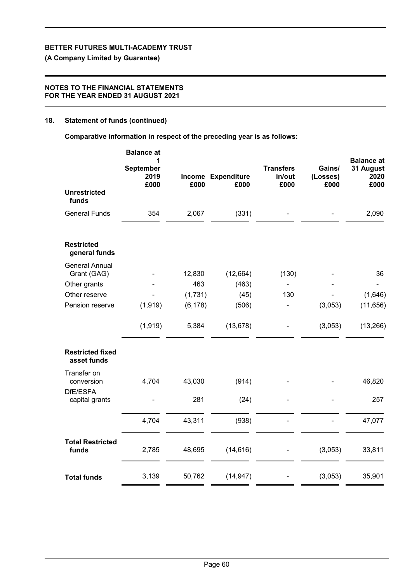**(A Company Limited by Guarantee)**

## **NOTES TO THE FINANCIAL STATEMENTS FOR THE YEAR ENDED 31 AUGUST 2021**

### **18. Statement of funds (continued)**

**Comparative information in respect of the preceding year is as follows:**

|                                        | <b>Balance at</b><br>1<br>September<br>2019<br>£000 | £000     | Income Expenditure<br>£000 | <b>Transfers</b><br>in/out<br>£000 | Gains/<br>(Losses)<br>£000 | <b>Balance at</b><br>31 August<br>2020<br>£000 |
|----------------------------------------|-----------------------------------------------------|----------|----------------------------|------------------------------------|----------------------------|------------------------------------------------|
| <b>Unrestricted</b><br>funds           |                                                     |          |                            |                                    |                            |                                                |
| <b>General Funds</b>                   | 354                                                 | 2,067    | (331)                      |                                    |                            | 2,090                                          |
| <b>Restricted</b><br>general funds     |                                                     |          |                            |                                    |                            |                                                |
| <b>General Annual</b><br>Grant (GAG)   |                                                     | 12,830   | (12, 664)                  | (130)                              |                            | 36                                             |
| Other grants                           |                                                     | 463      | (463)                      |                                    |                            |                                                |
| Other reserve                          |                                                     | (1,731)  | (45)                       | 130                                |                            | (1,646)                                        |
| Pension reserve                        | (1, 919)                                            | (6, 178) | (506)                      |                                    | (3,053)                    | (11, 656)                                      |
|                                        | (1, 919)                                            | 5,384    | (13, 678)                  |                                    | (3,053)                    | (13, 266)                                      |
| <b>Restricted fixed</b><br>asset funds |                                                     |          |                            |                                    |                            |                                                |
| Transfer on<br>conversion              | 4,704                                               | 43,030   | (914)                      |                                    |                            | 46,820                                         |
| DfE/ESFA<br>capital grants             |                                                     | 281      | (24)                       |                                    |                            | 257                                            |
|                                        | 4,704                                               | 43,311   | (938)                      |                                    |                            | 47,077                                         |
| <b>Total Restricted</b><br>funds       | 2,785                                               | 48,695   | (14, 616)                  |                                    | (3,053)                    | 33,811                                         |
| <b>Total funds</b>                     | 3,139                                               | 50,762   | (14, 947)                  |                                    | (3,053)                    | 35,901                                         |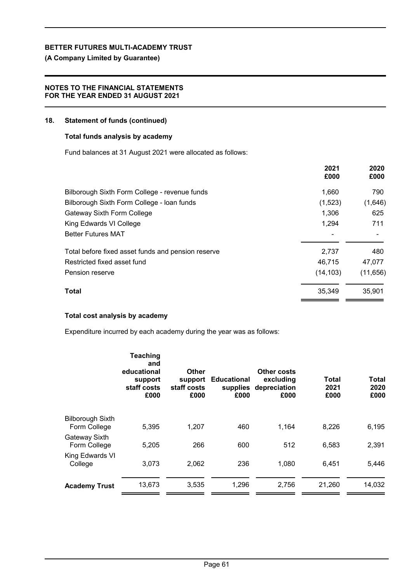**(A Company Limited by Guarantee)**

## **NOTES TO THE FINANCIAL STATEMENTS FOR THE YEAR ENDED 31 AUGUST 2021**

### **18. Statement of funds (continued)**

### **Total funds analysis by academy**

Fund balances at 31 August 2021 were allocated as follows:

|                                                    | 2021<br>£000 | 2020<br>£000 |
|----------------------------------------------------|--------------|--------------|
| Bilborough Sixth Form College - revenue funds      | 1,660        | 790          |
| Bilborough Sixth Form College - Ioan funds         | (1,523)      | (1,646)      |
| Gateway Sixth Form College                         | 1,306        | 625          |
| King Edwards VI College                            | 1,294        | 711          |
| <b>Better Futures MAT</b>                          |              |              |
| Total before fixed asset funds and pension reserve | 2,737        | 480          |
| Restricted fixed asset fund                        | 46,715       | 47,077       |
| Pension reserve                                    | (14, 103)    | (11, 656)    |
| Total                                              | 35,349       | 35,901       |

## **Total cost analysis by academy**

Expenditure incurred by each academy during the year was as follows:

|                               | <b>Teaching</b><br>and<br>educational<br>support<br>staff costs<br>£000 | <b>Other</b><br>support<br>staff costs<br>£000 | <b>Educational</b><br>supplies<br>£000 | Other costs<br>excluding<br>depreciation<br>£000 | Total<br>2021<br>£000 | <b>Total</b><br>2020<br>£000 |
|-------------------------------|-------------------------------------------------------------------------|------------------------------------------------|----------------------------------------|--------------------------------------------------|-----------------------|------------------------------|
| <b>Bilborough Sixth</b>       | 5,395                                                                   | 1,207                                          | 460                                    | 1.164                                            | 8,226                 | 6,195                        |
| Form College                  |                                                                         |                                                |                                        |                                                  |                       |                              |
| Gateway Sixth<br>Form College | 5,205                                                                   | 266                                            | 600                                    | 512                                              | 6,583                 | 2,391                        |
| King Edwards VI<br>College    | 3,073                                                                   | 2,062                                          | 236                                    | 1,080                                            | 6,451                 | 5,446                        |
| <b>Academy Trust</b>          | 13,673                                                                  | 3,535                                          | 1,296                                  | 2,756                                            | 21,260                | 14,032                       |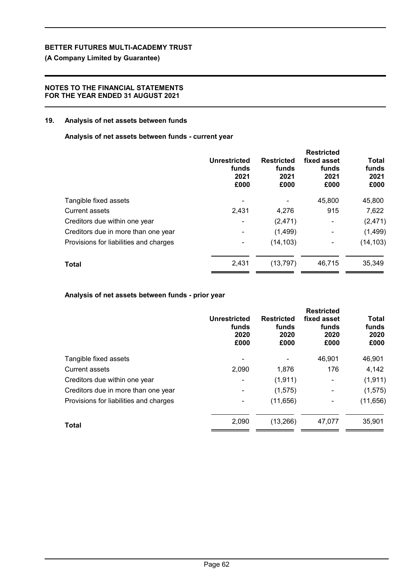**(A Company Limited by Guarantee)**

## **NOTES TO THE FINANCIAL STATEMENTS FOR THE YEAR ENDED 31 AUGUST 2021**

### **19. Analysis of net assets between funds**

**Analysis of net assets between funds - current year**

|                                        | <b>Unrestricted</b><br>funds<br>2021<br>£000 | <b>Restricted</b><br>funds<br>2021<br>£000 | <b>Restricted</b><br>fixed asset<br>funds<br>2021<br>£000 | Total<br>funds<br>2021<br>£000 |
|----------------------------------------|----------------------------------------------|--------------------------------------------|-----------------------------------------------------------|--------------------------------|
| Tangible fixed assets                  |                                              |                                            | 45,800                                                    | 45,800                         |
| <b>Current assets</b>                  | 2,431                                        | 4,276                                      | 915                                                       | 7,622                          |
| Creditors due within one year          |                                              | (2, 471)                                   | -                                                         | (2, 471)                       |
| Creditors due in more than one year    |                                              | (1,499)                                    |                                                           | (1,499)                        |
| Provisions for liabilities and charges |                                              | (14, 103)                                  |                                                           | (14, 103)                      |
| <b>Total</b>                           | 2,431                                        | (13, 797)                                  | 46,715                                                    | 35,349                         |

## **Analysis of net assets between funds - prior year**

|                                        | <b>Unrestricted</b><br>funds<br>2020<br>£000 | <b>Restricted</b><br>funds<br>2020<br>£000 | <b>Restricted</b><br>fixed asset<br>funds<br>2020<br>£000 | <b>Total</b><br>funds<br>2020<br>£000 |
|----------------------------------------|----------------------------------------------|--------------------------------------------|-----------------------------------------------------------|---------------------------------------|
| Tangible fixed assets                  |                                              |                                            | 46,901                                                    | 46,901                                |
| <b>Current assets</b>                  | 2,090                                        | 1,876                                      | 176                                                       | 4,142                                 |
| Creditors due within one year          |                                              | (1, 911)                                   | ۰                                                         | (1, 911)                              |
| Creditors due in more than one year    | $\overline{\phantom{a}}$                     | (1, 575)                                   | ۰                                                         | (1, 575)                              |
| Provisions for liabilities and charges |                                              | (11, 656)                                  |                                                           | (11, 656)                             |
| Total                                  | 2,090                                        | (13,266)                                   | 47.077                                                    | 35,901                                |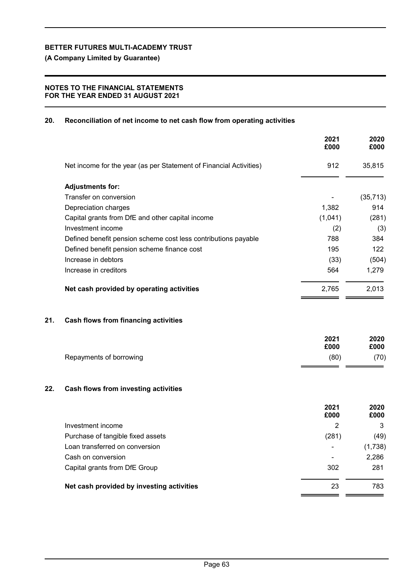**(A Company Limited by Guarantee)**

## **NOTES TO THE FINANCIAL STATEMENTS FOR THE YEAR ENDED 31 AUGUST 2021**

## **20. Reconciliation of net income to net cash flow from operating activities**

|     |                                                                    | 2021<br>£000   | 2020<br>£000 |
|-----|--------------------------------------------------------------------|----------------|--------------|
|     | Net income for the year (as per Statement of Financial Activities) | 912            | 35,815       |
|     | <b>Adjustments for:</b>                                            |                |              |
|     | Transfer on conversion                                             |                | (35, 713)    |
|     | Depreciation charges                                               | 1,382          | 914          |
|     | Capital grants from DfE and other capital income                   | (1,041)        | (281)        |
|     | Investment income                                                  | (2)            | (3)          |
|     | Defined benefit pension scheme cost less contributions payable     | 788            | 384          |
|     | Defined benefit pension scheme finance cost                        | 195            | 122          |
|     | Increase in debtors                                                | (33)           | (504)        |
|     | Increase in creditors                                              | 564            | 1,279        |
|     | Net cash provided by operating activities                          | 2,765          | 2,013        |
| 21. | <b>Cash flows from financing activities</b>                        |                |              |
|     |                                                                    | 2021           | 2020         |
|     |                                                                    | £000           | £000         |
|     | Repayments of borrowing                                            | (80)           | (70)         |
| 22. | Cash flows from investing activities                               |                |              |
|     |                                                                    | 2021<br>£000   | 2020<br>£000 |
|     | Investment income                                                  | $\overline{2}$ | 3            |
|     | Purchase of tangible fixed assets                                  | (281)          | (49)         |
|     | Loan transferred on conversion                                     |                | (1,738)      |
|     | Cash on conversion                                                 |                | 2,286        |
|     | Capital grants from DfE Group                                      | 302            | 281          |
|     | Net cash provided by investing activities                          | 23             | 783          |
|     |                                                                    |                |              |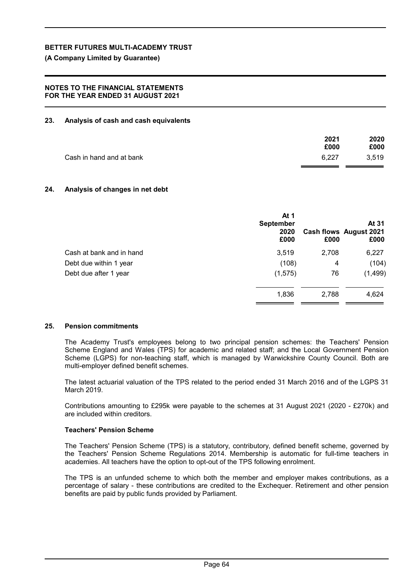**(A Company Limited by Guarantee)**

### **NOTES TO THE FINANCIAL STATEMENTS FOR THE YEAR ENDED 31 AUGUST 2021**

### **23. Analysis of cash and cash equivalents**

|                          | 2021  | 2020  |
|--------------------------|-------|-------|
|                          | £000  | £000  |
| Cash in hand and at bank | 6.227 | 3,519 |

### **24. Analysis of changes in net debt**

|                          | At 1<br><b>September</b><br>2020<br>£000 | £000  | At 31<br>Cash flows August 2021<br>£000 |
|--------------------------|------------------------------------------|-------|-----------------------------------------|
| Cash at bank and in hand | 3,519                                    | 2,708 | 6,227                                   |
| Debt due within 1 year   | (108)                                    | 4     | (104)                                   |
| Debt due after 1 year    | (1, 575)                                 | 76    | (1, 499)                                |
|                          | 1,836                                    | 2,788 | 4,624                                   |

### **25. Pension commitments**

The Academy Trust's employees belong to two principal pension schemes: the Teachers' Pension Scheme England and Wales (TPS) for academic and related staff; and the Local Government Pension Scheme (LGPS) for non-teaching staff, which is managed by Warwickshire County Council. Both are multi-employer defined benefit schemes.

The latest actuarial valuation of the TPS related to the period ended 31 March 2016 and of the LGPS 31 March 2019.

Contributions amounting to £295k were payable to the schemes at 31 August 2021 (2020 - £270k) and are included within creditors.

### **Teachers' Pension Scheme**

The Teachers' Pension Scheme (TPS) is a statutory, contributory, defined benefit scheme, governed by the Teachers' Pension Scheme Regulations 2014. Membership is automatic for full-time teachers in academies. All teachers have the option to opt-out of the TPS following enrolment.

The TPS is an unfunded scheme to which both the member and employer makes contributions, as a percentage of salary - these contributions are credited to the Exchequer. Retirement and other pension benefits are paid by public funds provided by Parliament.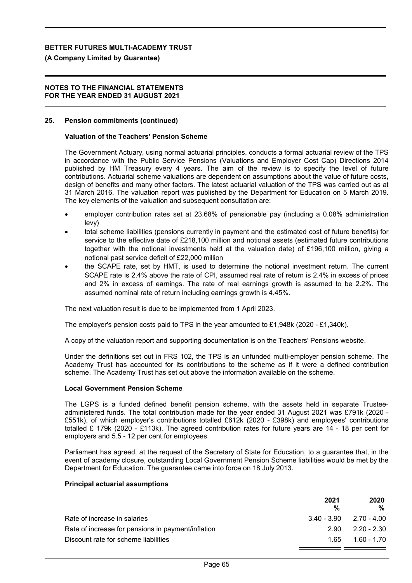### **(A Company Limited by Guarantee)**

### **NOTES TO THE FINANCIAL STATEMENTS FOR THE YEAR ENDED 31 AUGUST 2021**

### **25. Pension commitments (continued)**

### **Valuation of the Teachers' Pension Scheme**

The Government Actuary, using normal actuarial principles, conducts a formal actuarial review of the TPS in accordance with the Public Service Pensions (Valuations and Employer Cost Cap) Directions 2014 published by HM Treasury every 4 years. The aim of the review is to specify the level of future contributions. Actuarial scheme valuations are dependent on assumptions about the value of future costs, design of benefits and many other factors. The latest actuarial valuation of the TPS was carried out as at 31 March 2016. The valuation report was published by the Department for Education on 5 March 2019. The key elements of the valuation and subsequent consultation are:

- employer contribution rates set at 23.68% of pensionable pay (including a 0.08% administration levy)
- total scheme liabilities (pensions currently in payment and the estimated cost of future benefits) for service to the effective date of £218,100 million and notional assets (estimated future contributions together with the notional investments held at the valuation date) of £196,100 million, giving a notional past service deficit of £22,000 million
- the SCAPE rate, set by HMT, is used to determine the notional investment return. The current SCAPE rate is 2.4% above the rate of CPI, assumed real rate of return is 2.4% in excess of prices and 2% in excess of earnings. The rate of real earnings growth is assumed to be 2.2%. The assumed nominal rate of return including earnings growth is 4.45%.

The next valuation result is due to be implemented from 1 April 2023.

The employer's pension costs paid to TPS in the year amounted to £1,948k (2020 - £1,340k).

A copy of the valuation report and supporting documentation is on the Teachers' Pensions website.

Under the definitions set out in FRS 102, the TPS is an unfunded multi-employer pension scheme. The Academy Trust has accounted for its contributions to the scheme as if it were a defined contribution scheme. The Academy Trust has set out above the information available on the scheme.

### **Local Government Pension Scheme**

The LGPS is a funded defined benefit pension scheme, with the assets held in separate Trusteeadministered funds. The total contribution made for the year ended 31 August 2021 was £791k (2020 - £551k), of which employer's contributions totalled £612k (2020 - £398k) and employees' contributions totalled £ 179k (2020 - £113k). The agreed contribution rates for future years are 14 - 18 per cent for employers and 5.5 - 12 per cent for employees.

Parliament has agreed, at the request of the Secretary of State for Education, to a guarantee that, in the event of academy closure, outstanding Local Government Pension Scheme liabilities would be met by the Department for Education. The guarantee came into force on 18 July 2013.

### **Principal actuarial assumptions**

|                                                    | 2021                        | 2020<br>%     |
|----------------------------------------------------|-----------------------------|---------------|
|                                                    | %                           |               |
| Rate of increase in salaries                       | $3.40 - 3.90$ $2.70 - 4.00$ |               |
| Rate of increase for pensions in payment/inflation | 2.90                        | $2.20 - 2.30$ |
| Discount rate for scheme liabilities               | 1 65                        | $1.60 - 1.70$ |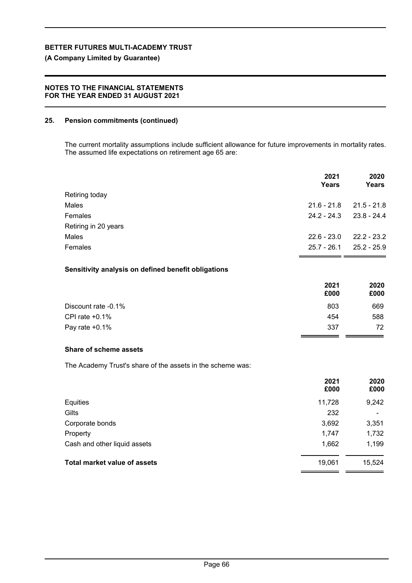## **(A Company Limited by Guarantee)**

## **NOTES TO THE FINANCIAL STATEMENTS FOR THE YEAR ENDED 31 AUGUST 2021**

## **25. Pension commitments (continued)**

The current mortality assumptions include sufficient allowance for future improvements in mortality rates. The assumed life expectations on retirement age 65 are:

|                      | 2021<br>Years | 2020<br>Years |
|----------------------|---------------|---------------|
| Retiring today       |               |               |
| Males                | $21.6 - 21.8$ | $21.5 - 21.8$ |
| Females              | $24.2 - 24.3$ | $23.8 - 24.4$ |
| Retiring in 20 years |               |               |
| Males                | $22.6 - 23.0$ | $22.2 - 23.2$ |
| Females              | $25.7 - 26.1$ | $25.2 - 25.9$ |

## **Sensitivity analysis on defined benefit obligations**

|                     | 2021<br>£000 | 2020<br>£000 |
|---------------------|--------------|--------------|
| Discount rate -0.1% | 803          | 669          |
| CPI rate $+0.1\%$   | 454          | 588          |
| Pay rate $+0.1\%$   | 337          | 72.          |

### **Share of scheme assets**

The Academy Trust's share of the assets in the scheme was:

|                                     | 2021<br>£000 | 2020<br>£000             |
|-------------------------------------|--------------|--------------------------|
| Equities                            | 11,728       | 9,242                    |
| Gilts                               | 232          | $\overline{\phantom{0}}$ |
| Corporate bonds                     | 3,692        | 3,351                    |
| Property                            | 1,747        | 1,732                    |
| Cash and other liquid assets        | 1,662        | 1,199                    |
| <b>Total market value of assets</b> | 19,061       | 15,524                   |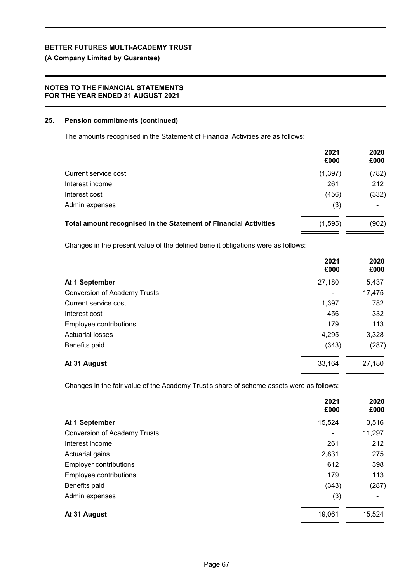## **(A Company Limited by Guarantee)**

## **NOTES TO THE FINANCIAL STATEMENTS FOR THE YEAR ENDED 31 AUGUST 2021**

### **25. Pension commitments (continued)**

The amounts recognised in the Statement of Financial Activities are as follows:

|                                                                  | 2021<br>£000 | 2020<br>£000 |
|------------------------------------------------------------------|--------------|--------------|
| Current service cost                                             | (1, 397)     | (782)        |
| Interest income                                                  | 261          | 212          |
| Interest cost                                                    | (456)        | (332)        |
| Admin expenses                                                   | (3)          |              |
| Total amount recognised in the Statement of Financial Activities | (1, 595)     | (902)        |

Changes in the present value of the defined benefit obligations were as follows:

|                                     | 2021<br>£000   | 2020<br>£000 |
|-------------------------------------|----------------|--------------|
| At 1 September                      | 27,180         | 5,437        |
| <b>Conversion of Academy Trusts</b> | $\blacksquare$ | 17,475       |
| Current service cost                | 1,397          | 782          |
| Interest cost                       | 456            | 332          |
| Employee contributions              | 179            | 113          |
| <b>Actuarial losses</b>             | 4,295          | 3,328        |
| Benefits paid                       | (343)          | (287)        |
| At 31 August                        | 33,164         | 27,180       |

Changes in the fair value of the Academy Trust's share of scheme assets were as follows:

|                                     | 2021<br>£000   | 2020<br>£000 |
|-------------------------------------|----------------|--------------|
| At 1 September                      | 15,524         | 3,516        |
| <b>Conversion of Academy Trusts</b> | $\blacksquare$ | 11,297       |
| Interest income                     | 261            | 212          |
| Actuarial gains                     | 2,831          | 275          |
| <b>Employer contributions</b>       | 612            | 398          |
| Employee contributions              | 179            | 113          |
| Benefits paid                       | (343)          | (287)        |
| Admin expenses                      | (3)            |              |
| At 31 August                        | 19,061         | 15,524       |